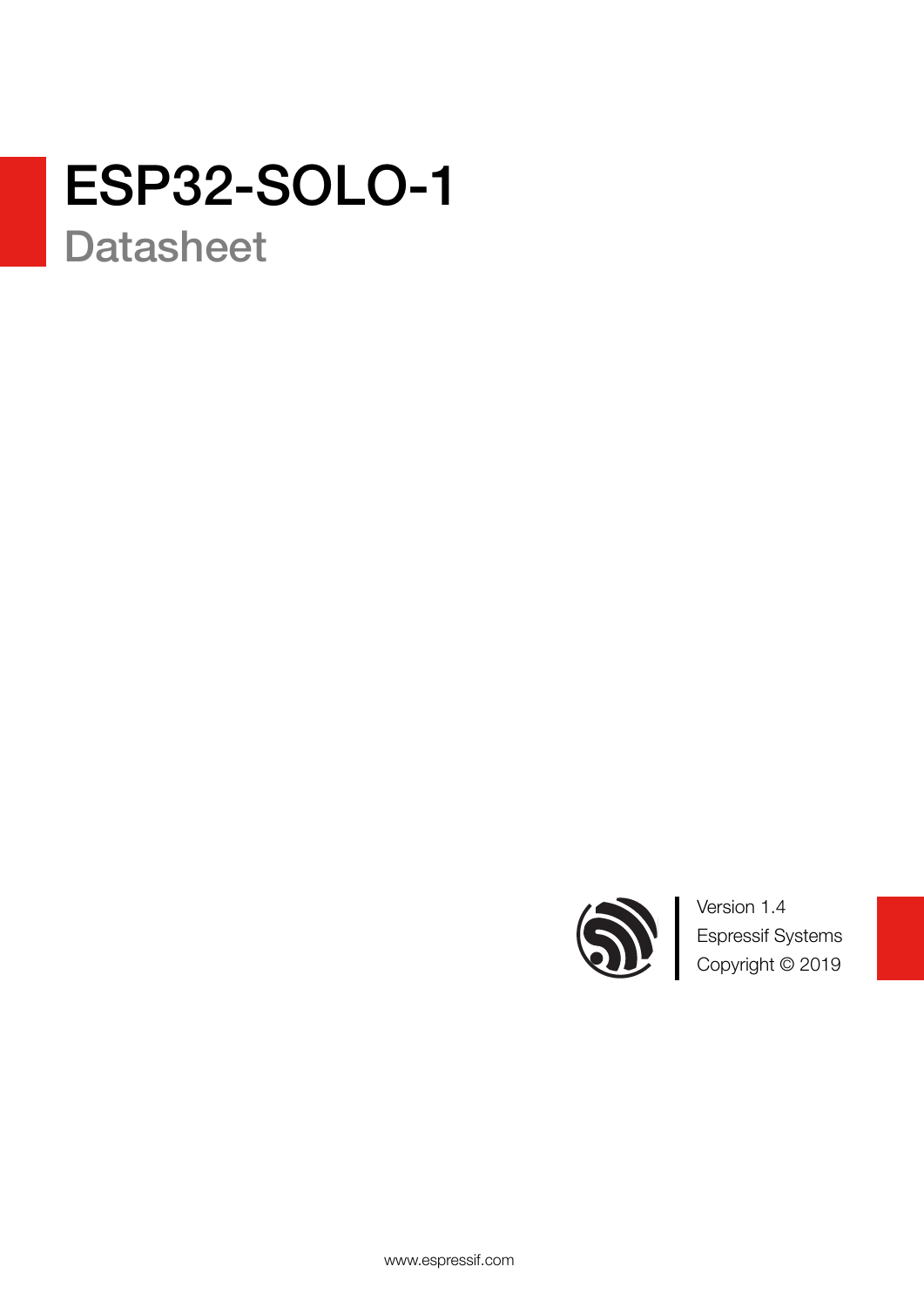# ESP32-SOLO-1

**Datasheet** 



Version 1.4 Espressif Systems Copyright © 2019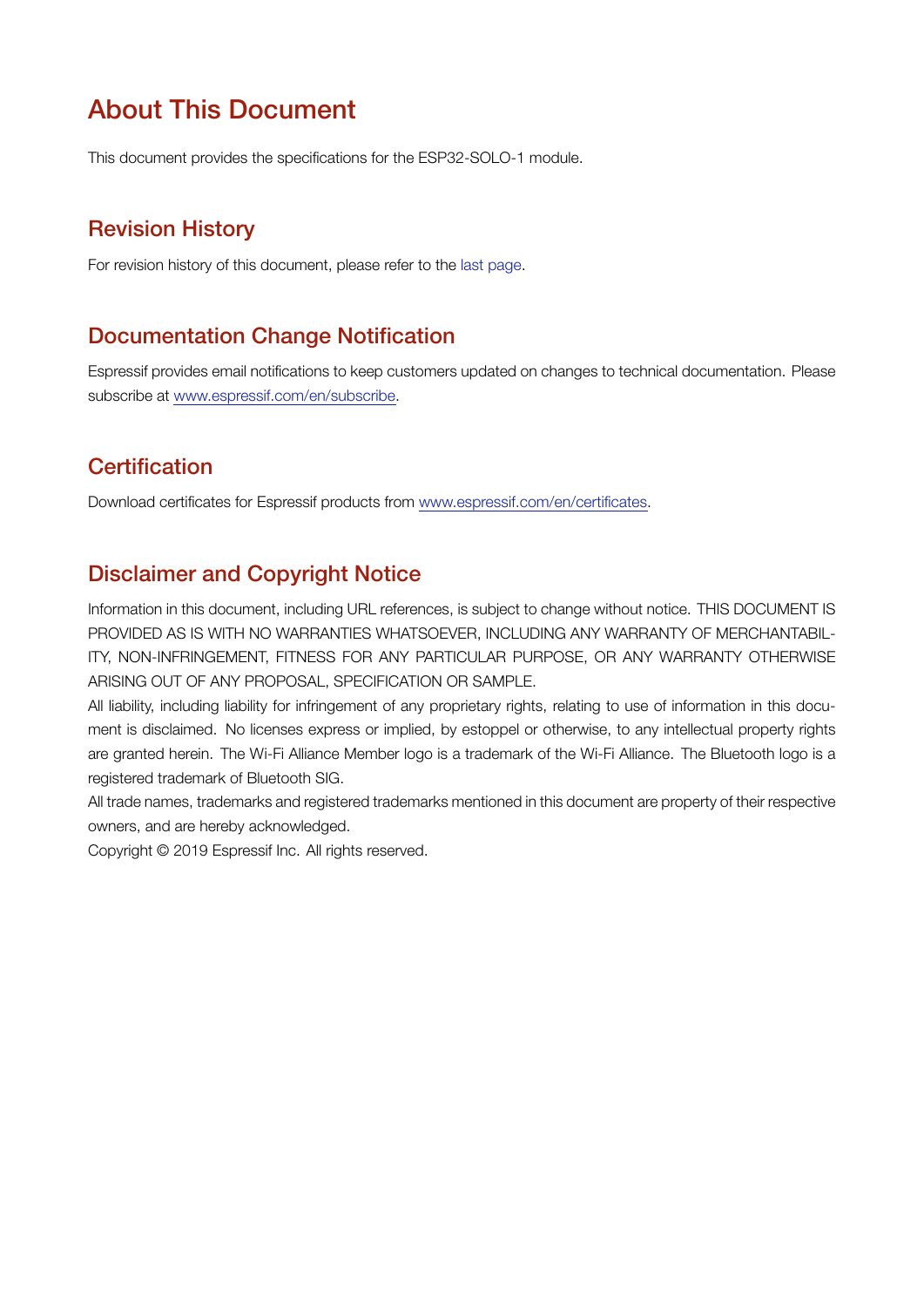### About This Document

This document provides the specifications for the ESP32-SOLO-1 module.

#### Revision History

For revision history of this document, please refer to the [last page](#page-23-0).

#### Documentation Change Notification

Espressif provides email notifications to keep customers updated on changes to technical documentation. Please subscribe at [www.espressif.com/en/subscribe.](http://espressif.com/en/subscribe)

#### **Certification**

Download certificates for Espressif products from [www.espressif.com/en/certificates](http://espressif.com/en/certificates).

#### Disclaimer and Copyright Notice

Information in this document, including URL references, is subject to change without notice. THIS DOCUMENT IS PROVIDED AS IS WITH NO WARRANTIES WHATSOEVER, INCLUDING ANY WARRANTY OF MERCHANTABIL-ITY, NON-INFRINGEMENT, FITNESS FOR ANY PARTICULAR PURPOSE, OR ANY WARRANTY OTHERWISE ARISING OUT OF ANY PROPOSAL, SPECIFICATION OR SAMPLE.

All liability, including liability for infringement of any proprietary rights, relating to use of information in this document is disclaimed. No licenses express or implied, by estoppel or otherwise, to any intellectual property rights are granted herein. The Wi-Fi Alliance Member logo is a trademark of the Wi-Fi Alliance. The Bluetooth logo is a registered trademark of Bluetooth SIG.

All trade names, trademarks and registered trademarks mentioned in this document are property of their respective owners, and are hereby acknowledged.

Copyright © 2019 Espressif Inc. All rights reserved.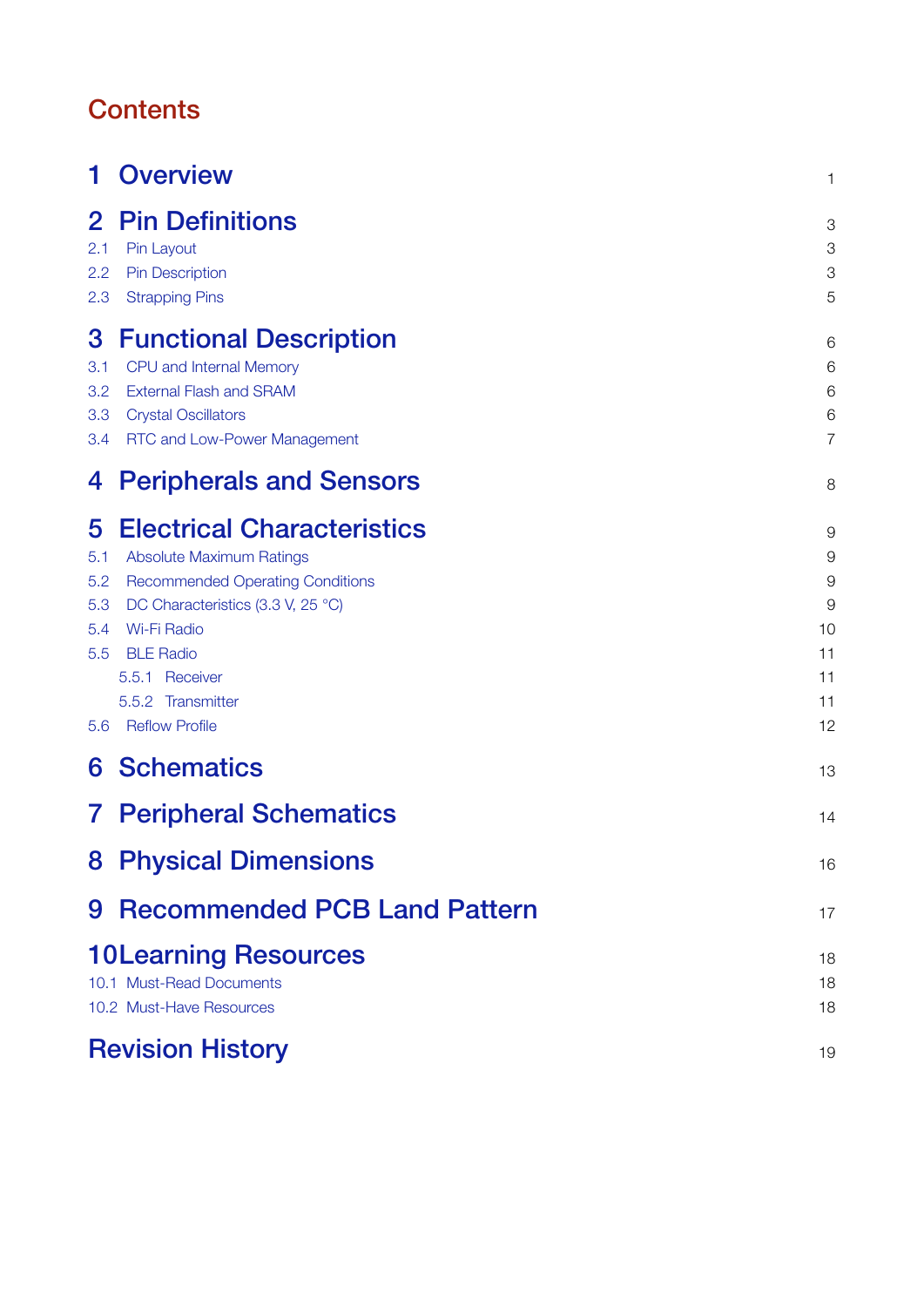## **Contents**

| 1                                           | <b>Overview</b>                                                                                                                                                                                                                                                | 1                                                           |
|---------------------------------------------|----------------------------------------------------------------------------------------------------------------------------------------------------------------------------------------------------------------------------------------------------------------|-------------------------------------------------------------|
| $\mathbf{2}$<br>2.1<br>2.2<br>2.3           | <b>Pin Definitions</b><br>Pin Layout<br><b>Pin Description</b><br><b>Strapping Pins</b>                                                                                                                                                                        | 3<br>3<br>3<br>5                                            |
| 3<br>3.1<br>3.2<br>3.3<br>3.4               | <b>Functional Description</b><br>CPU and Internal Memory<br><b>External Flash and SRAM</b><br><b>Crystal Oscillators</b><br>RTC and Low-Power Management                                                                                                       | 6<br>6<br>6<br>6<br>$\overline{7}$                          |
| 4                                           | <b>Peripherals and Sensors</b>                                                                                                                                                                                                                                 | 8                                                           |
| 5<br>5.1<br>5.2<br>5.3<br>5.4<br>5.5<br>5.6 | <b>Electrical Characteristics</b><br><b>Absolute Maximum Ratings</b><br><b>Recommended Operating Conditions</b><br>DC Characteristics (3.3 V, 25 °C)<br><b>Wi-Fi Radio</b><br><b>BLE Radio</b><br>5.5.1 Receiver<br>5.5.2 Transmitter<br><b>Reflow Profile</b> | 9<br>9<br>$\overline{9}$<br>9<br>10<br>11<br>11<br>11<br>12 |
| 6                                           | <b>Schematics</b>                                                                                                                                                                                                                                              | 13                                                          |
| $\mathbf{7}$                                | <b>Peripheral Schematics</b>                                                                                                                                                                                                                                   | 14                                                          |
|                                             | <b>8 Physical Dimensions</b>                                                                                                                                                                                                                                   | 16                                                          |
| 9                                           | <b>Recommended PCB Land Pattern</b>                                                                                                                                                                                                                            | 17                                                          |
|                                             | <b>10Learning Resources</b><br>10.1 Must-Read Documents<br>10.2 Must-Have Resources                                                                                                                                                                            | 18<br>18<br>18                                              |
|                                             | <b>Revision History</b>                                                                                                                                                                                                                                        | 19                                                          |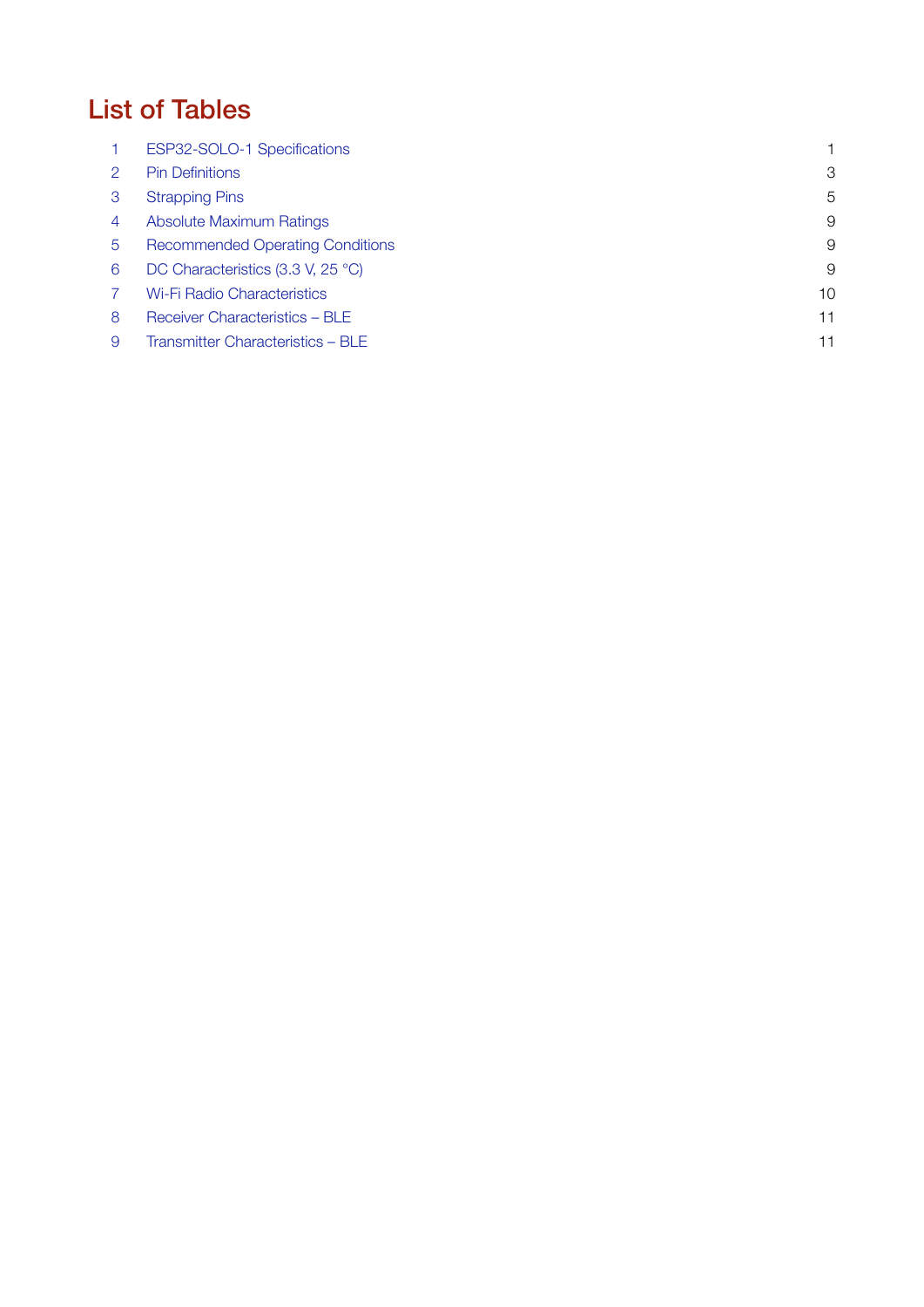## List of Tables

|               | ESP32-SOLO-1 Specifications             |    |
|---------------|-----------------------------------------|----|
| $\mathcal{P}$ | <b>Pin Definitions</b>                  | 3  |
| 3             | <b>Strapping Pins</b>                   | 5  |
| 4             | Absolute Maximum Ratings                | 9  |
| -5            | <b>Recommended Operating Conditions</b> | 9  |
| 6             | DC Characteristics (3.3 V, 25 °C)       | 9  |
|               | <b>Wi-Fi Radio Characteristics</b>      | 10 |
| 8             | Receiver Characteristics - BLE          | 11 |
| 9             | Transmitter Characteristics - BLE       | 11 |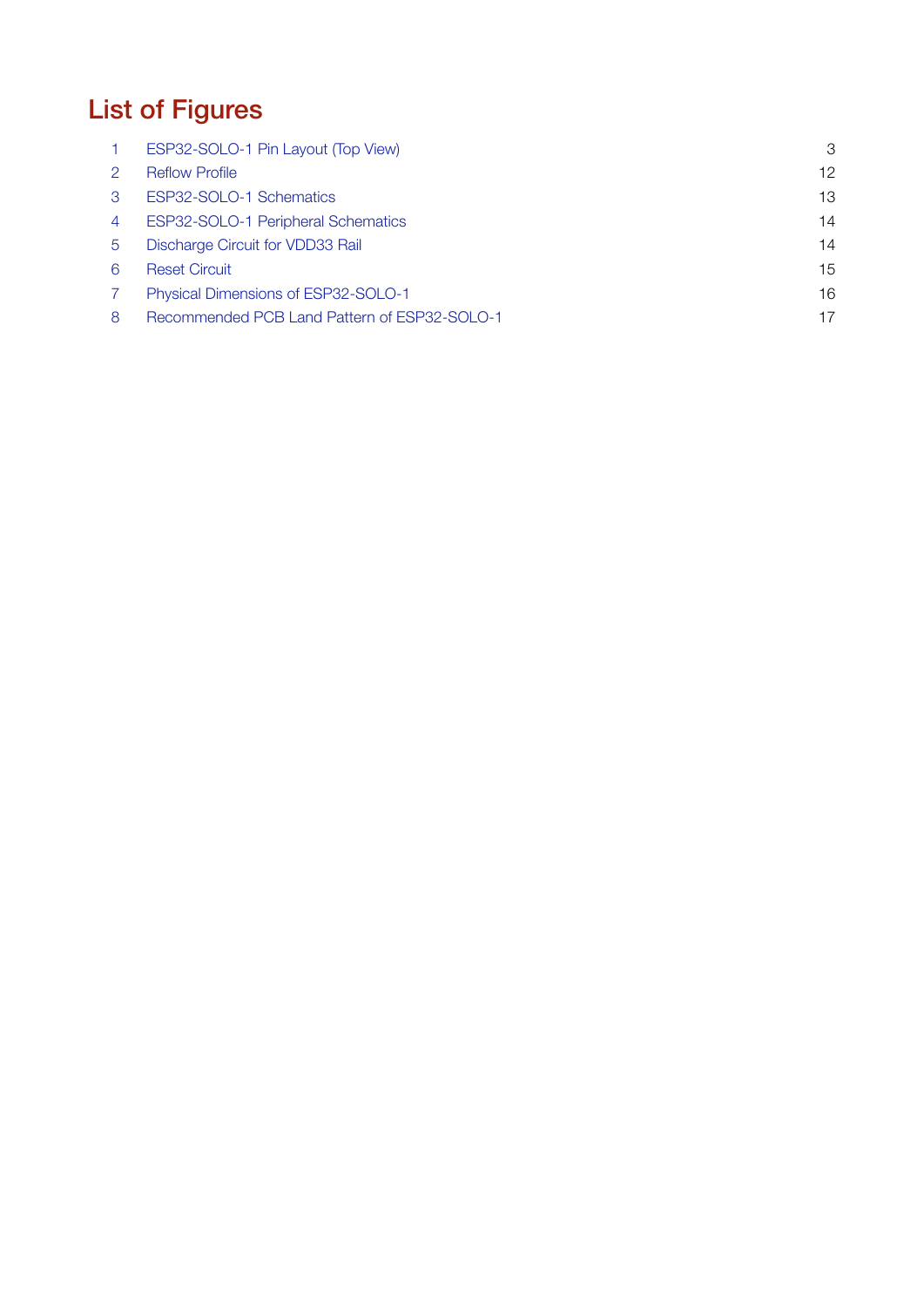# List of Figures

|   | ESP32-SOLO-1 Pin Layout (Top View)           | 3  |
|---|----------------------------------------------|----|
| 2 | <b>Reflow Profile</b>                        | 12 |
| З | ESP32-SOLO-1 Schematics                      | 13 |
| 4 | ESP32-SOLO-1 Peripheral Schematics           | 14 |
| 5 | Discharge Circuit for VDD33 Rail             | 14 |
| 6 | <b>Reset Circuit</b>                         | 15 |
|   | Physical Dimensions of ESP32-SOLO-1          | 16 |
| 8 | Recommended PCB Land Pattern of ESP32-SOLO-1 | 17 |
|   |                                              |    |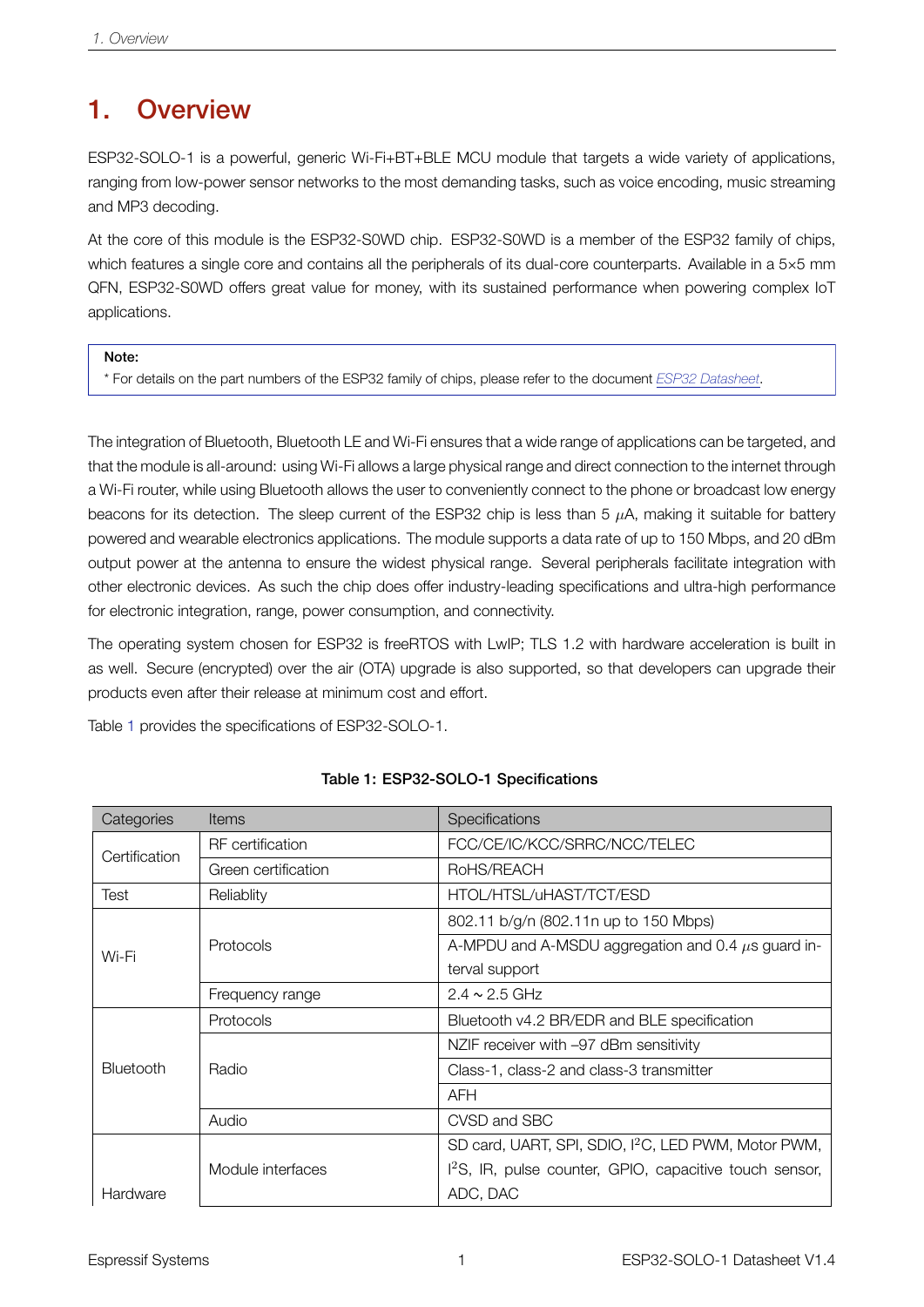### <span id="page-5-0"></span>1. Overview

ESP32-SOLO-1 is a powerful, generic Wi-Fi+BT+BLE MCU module that targets a wide variety of applications, ranging from low-power sensor networks to the most demanding tasks, such as voice encoding, music streaming and MP3 decoding.

At the core of this module is the ESP32-S0WD chip. ESP32-S0WD is a member of the ESP32 family of chips, which features a single core and contains all the peripherals of its dual-core counterparts. Available in a 5×5 mm QFN, ESP32-S0WD offers great value for money, with its sustained performance when powering complex IoT applications.

Note:

\* For details on the part numbers of the ESP32 family of chips, please refer to the document *[ESP32 Datasheet](http://espressif.com/sites/default/files/documentation/esp32_datasheet_en.pdf)*.

The integration of Bluetooth, Bluetooth LE and Wi-Fi ensures that a wide range of applications can be targeted, and that the module is all-around: using Wi-Fi allows a large physical range and direct connection to the internet through a Wi-Fi router, while using Bluetooth allows the user to conveniently connect to the phone or broadcast low energy beacons for its detection. The sleep current of the ESP32 chip is less than 5  $\mu$ A, making it suitable for battery powered and wearable electronics applications. The module supports a data rate of up to 150 Mbps, and 20 dBm output power at the antenna to ensure the widest physical range. Several peripherals facilitate integration with other electronic devices. As such the chip does offer industry-leading specifications and ultra-high performance for electronic integration, range, power consumption, and connectivity.

The operating system chosen for ESP32 is freeRTOS with LwIP; TLS 1.2 with hardware acceleration is built in as well. Secure (encrypted) over the air (OTA) upgrade is also supported, so that developers can upgrade their products even after their release at minimum cost and effort.

Table [1](#page-5-1) provides the specifications of ESP32-SOLO-1.

<span id="page-5-1"></span>

| Categories    | <b>Items</b>            | Specifications                                                      |  |  |  |
|---------------|-------------------------|---------------------------------------------------------------------|--|--|--|
| Certification | <b>RF</b> certification | FCC/CE/IC/KCC/SRRC/NCC/TELEC                                        |  |  |  |
|               | Green certification     | RoHS/REACH                                                          |  |  |  |
| Test          | Reliablity              | HTOL/HTSL/uHAST/TCT/ESD                                             |  |  |  |
|               |                         | 802.11 b/g/n (802.11n up to 150 Mbps)                               |  |  |  |
| Wi-Fi         | <b>Protocols</b>        | A-MPDU and A-MSDU aggregation and 0.4 $\mu$ s guard in-             |  |  |  |
|               |                         | terval support                                                      |  |  |  |
|               | Frequency range         | $2.4 \sim 2.5$ GHz                                                  |  |  |  |
|               | <b>Protocols</b>        | Bluetooth v4.2 BR/EDR and BLE specification                         |  |  |  |
|               |                         | NZIF receiver with -97 dBm sensitivity                              |  |  |  |
| Bluetooth     | Radio                   | Class-1, class-2 and class-3 transmitter                            |  |  |  |
|               |                         | <b>AFH</b>                                                          |  |  |  |
|               | Audio                   | CVSD and SBC                                                        |  |  |  |
|               |                         | SD card, UART, SPI, SDIO, I <sup>2</sup> C, LED PWM, Motor PWM,     |  |  |  |
|               | Module interfaces       | 1 <sup>2</sup> S, IR, pulse counter, GPIO, capacitive touch sensor, |  |  |  |
| Hardware      |                         | ADC, DAC                                                            |  |  |  |

#### Table 1: ESP32-SOLO-1 Specifications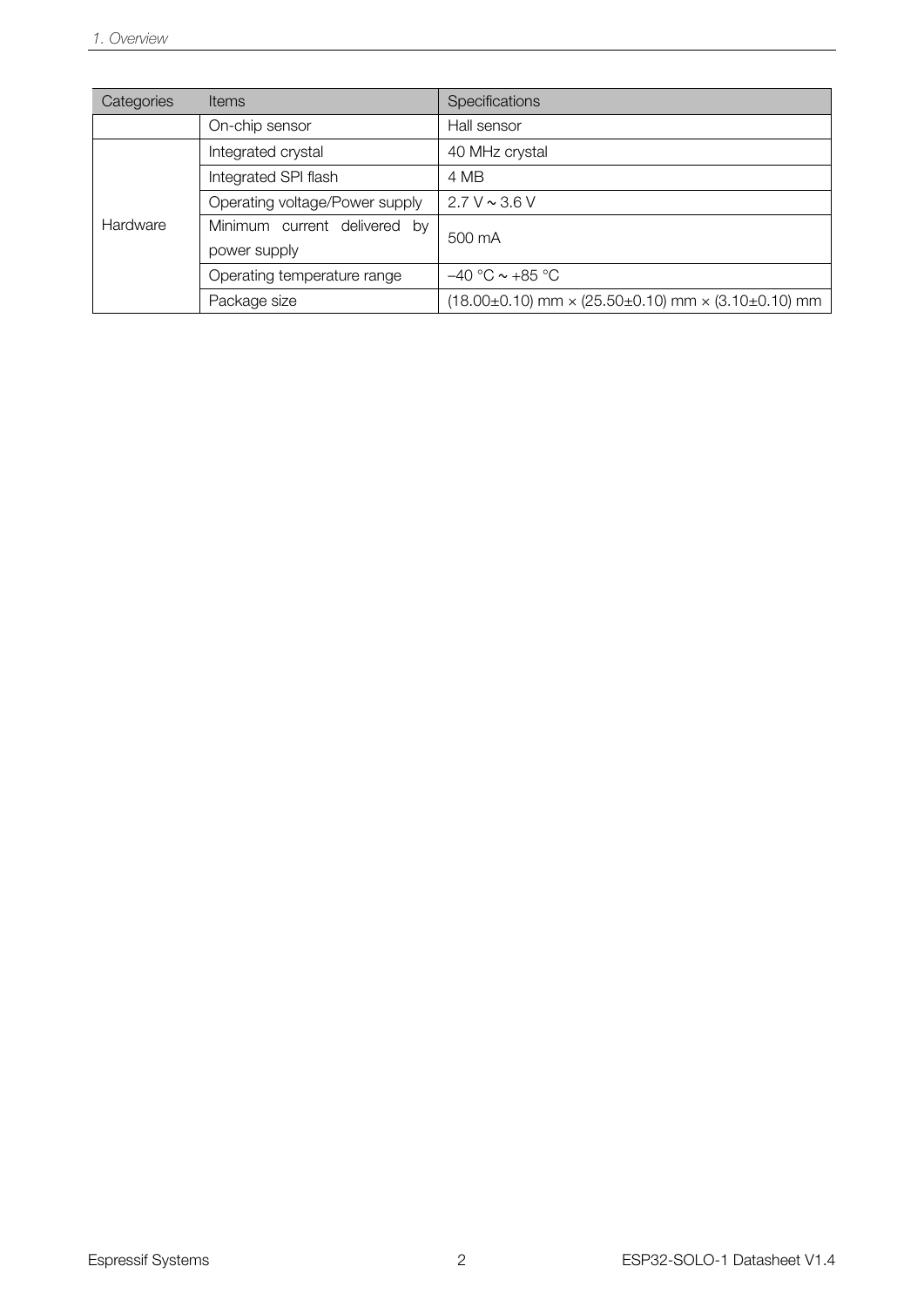| Categories | <b>Items</b>                   | Specifications                                                               |  |  |
|------------|--------------------------------|------------------------------------------------------------------------------|--|--|
|            | On-chip sensor                 | Hall sensor                                                                  |  |  |
|            | Integrated crystal             | 40 MHz crystal                                                               |  |  |
|            | Integrated SPI flash           | 4 MB                                                                         |  |  |
|            | Operating voltage/Power supply | $2.7 V \sim 3.6 V$                                                           |  |  |
| Hardware   | Minimum current delivered by   | 500 mA                                                                       |  |  |
|            | power supply                   |                                                                              |  |  |
|            | Operating temperature range    | $-40$ °C $\sim$ +85 °C                                                       |  |  |
|            | Package size                   | $(18.00\pm0.10)$ mm $\times$ $(25.50\pm0.10)$ mm $\times$ $(3.10\pm0.10)$ mm |  |  |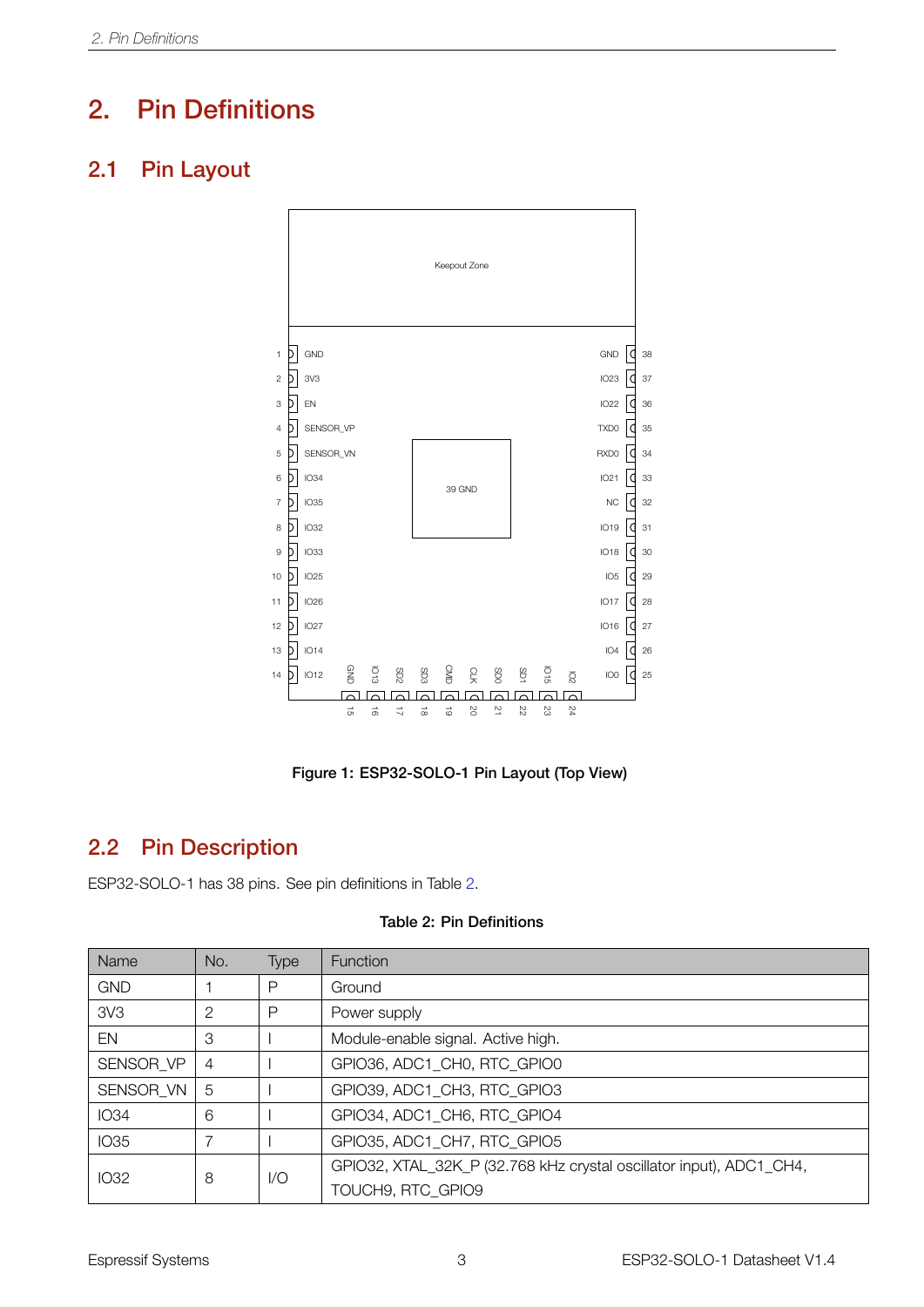### <span id="page-7-0"></span>2. Pin Definitions

### <span id="page-7-4"></span><span id="page-7-1"></span>2.1 Pin Layout



Figure 1: ESP32-SOLO-1 Pin Layout (Top View)

### <span id="page-7-2"></span>2.2 Pin Description

ESP32-SOLO-1 has 38 pins. See pin definitions in Table [2.](#page-7-3)

<span id="page-7-3"></span>

| Name            | No. | <b>Type</b> | <b>Function</b>                                                     |
|-----------------|-----|-------------|---------------------------------------------------------------------|
| <b>GND</b>      |     | Р           | Ground                                                              |
| 3V <sub>3</sub> | 2   | P           | Power supply                                                        |
| EN              | 3   |             | Module-enable signal. Active high.                                  |
| SENSOR VP       | 4   |             | GPIO36, ADC1 CH0, RTC GPIO0                                         |
| SENSOR VN       | 5   |             | GPIO39, ADC1 CH3, RTC GPIO3                                         |
| <b>IO34</b>     | 6   |             | GPIO34, ADC1 CH6, RTC GPIO4                                         |
| <b>IO35</b>     |     |             | GPIO35, ADC1 CH7, RTC GPIO5                                         |
| IO32            | 8   | 1/O         | GPIO32, XTAL_32K_P (32.768 kHz crystal oscillator input), ADC1_CH4, |
|                 |     |             |                                                                     |

#### Table 2: Pin Definitions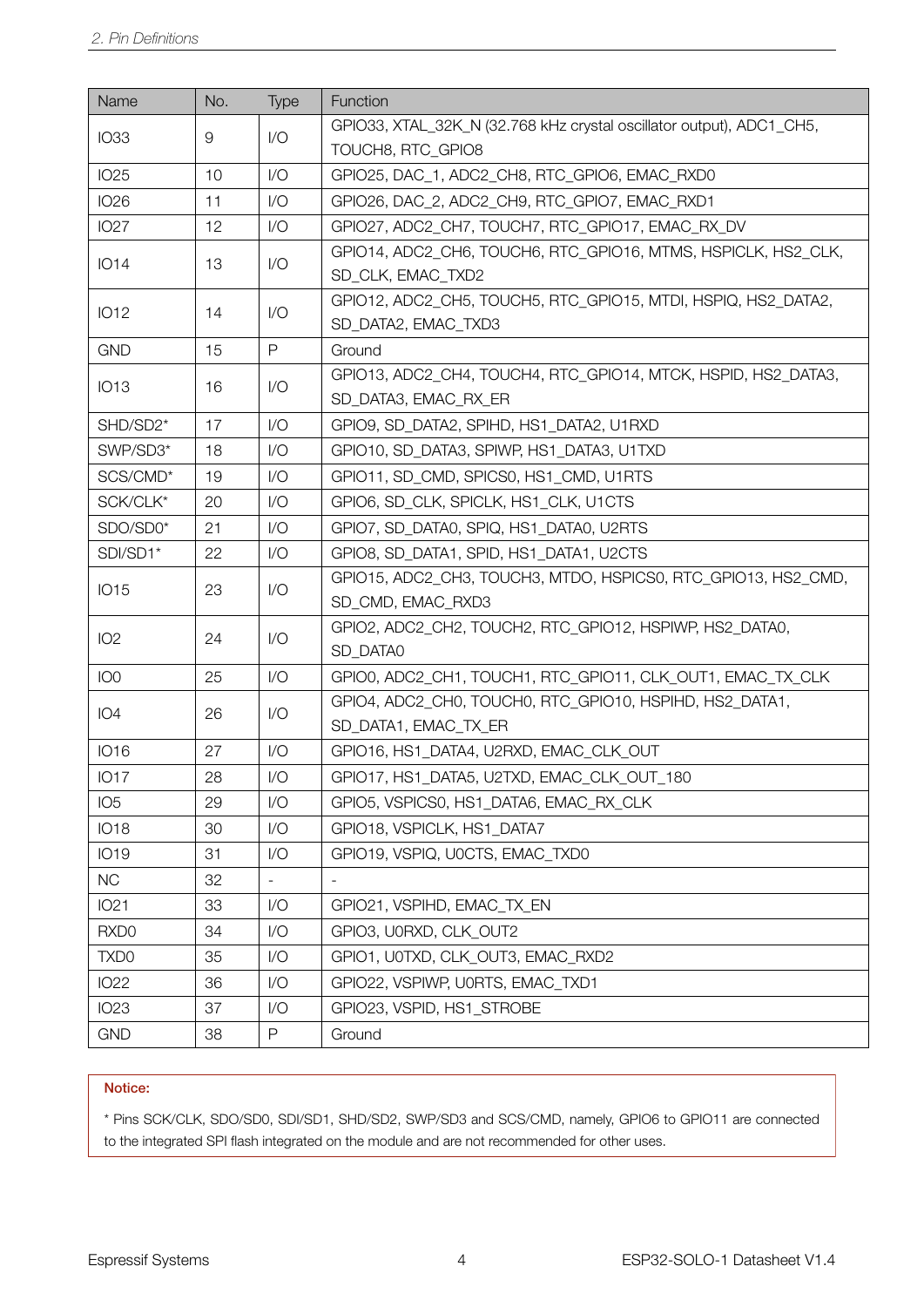| Name             | No.      | Type         | Function                                                                              |
|------------------|----------|--------------|---------------------------------------------------------------------------------------|
| <b>IO33</b>      | $\Theta$ | 1/O          | GPIO33, XTAL_32K_N (32.768 kHz crystal oscillator output), ADC1_CH5,                  |
|                  |          |              | TOUCH8, RTC_GPIO8                                                                     |
| <b>IO25</b>      | 10       | 1/O          | GPIO25, DAC_1, ADC2_CH8, RTC_GPIO6, EMAC_RXD0                                         |
| <b>IO26</b>      | 11       | 1/O          | GPIO26, DAC_2, ADC2_CH9, RTC_GPIO7, EMAC_RXD1                                         |
| <b>IO27</b>      | 12       | 1/O          | GPIO27, ADC2_CH7, TOUCH7, RTC_GPIO17, EMAC_RX_DV                                      |
| <b>IO14</b>      | 13       | 1/O          | GPIO14, ADC2_CH6, TOUCH6, RTC_GPIO16, MTMS, HSPICLK, HS2_CLK,<br>SD CLK, EMAC TXD2    |
| <b>IO12</b>      | 14       | 1/O          | GPIO12, ADC2_CH5, TOUCH5, RTC_GPIO15, MTDI, HSPIQ, HS2_DATA2,<br>SD_DATA2, EMAC_TXD3  |
| <b>GND</b>       | 15       | $\mathsf{P}$ | Ground                                                                                |
| <b>IO13</b>      | 16       | 1/O          | GPIO13, ADC2_CH4, TOUCH4, RTC_GPIO14, MTCK, HSPID, HS2_DATA3,<br>SD_DATA3, EMAC_RX_ER |
| SHD/SD2*         | 17       | 1/O          | GPIO9, SD_DATA2, SPIHD, HS1_DATA2, U1RXD                                              |
| SWP/SD3*         | 18       | 1/O          | GPIO10, SD DATA3, SPIWP, HS1 DATA3, U1TXD                                             |
| SCS/CMD*         | 19       | 1/O          | GPIO11, SD CMD, SPICS0, HS1 CMD, U1RTS                                                |
| SCK/CLK*         | 20       | 1/O          | GPIO6, SD CLK, SPICLK, HS1 CLK, U1CTS                                                 |
| SDO/SD0*         | 21       | 1/O          | GPIO7, SD_DATA0, SPIQ, HS1_DATA0, U2RTS                                               |
| SDI/SD1*         | 22       | 1/O          | GPIO8, SD_DATA1, SPID, HS1_DATA1, U2CTS                                               |
|                  | 23       | 1/O          | GPIO15, ADC2_CH3, TOUCH3, MTDO, HSPICS0, RTC_GPIO13, HS2_CMD,                         |
| <b>IO15</b>      |          |              | SD_CMD, EMAC_RXD3                                                                     |
| IO <sub>2</sub>  | 24       | 1/O          | GPIO2, ADC2_CH2, TOUCH2, RTC_GPIO12, HSPIWP, HS2_DATA0,                               |
|                  |          |              | SD_DATA0                                                                              |
| IO <sub>0</sub>  | 25       | 1/O          | GPIO0, ADC2_CH1, TOUCH1, RTC_GPIO11, CLK_OUT1, EMAC_TX_CLK                            |
| IO <sub>4</sub>  | 26       | 1/O          | GPIO4, ADC2_CH0, TOUCH0, RTC_GPIO10, HSPIHD, HS2_DATA1,                               |
|                  |          |              | SD_DATA1, EMAC_TX_ER                                                                  |
| <b>IO16</b>      | 27       | 1/O          | GPIO16, HS1_DATA4, U2RXD, EMAC_CLK_OUT                                                |
| <b>IO17</b>      | 28       | $\sqrt{O}$   | GPIO17, HS1_DATA5, U2TXD, EMAC_CLK_OUT_180                                            |
| IO <sub>5</sub>  | 29       | 1/O          | GPIO5, VSPICS0, HS1_DATA6, EMAC_RX_CLK                                                |
| <b>IO18</b>      | 30       | 1/O          | GPIO18, VSPICLK, HS1_DATA7                                                            |
| <b>IO19</b>      | 31       | 1/O          | GPIO19, VSPIQ, U0CTS, EMAC_TXD0                                                       |
| <b>NC</b>        | 32       |              |                                                                                       |
| <b>IO21</b>      | 33       | 1/O          | GPIO21, VSPIHD, EMAC_TX_EN                                                            |
| RXD <sub>0</sub> | 34       | 1/O          | GPIO3, U0RXD, CLK_OUT2                                                                |
| TXD <sub>0</sub> | 35       | 1/O          | GPIO1, U0TXD, CLK_OUT3, EMAC_RXD2                                                     |
| <b>IO22</b>      | 36       | 1/O          | GPIO22, VSPIWP, U0RTS, EMAC TXD1                                                      |
| <b>IO23</b>      | 37       | 1/O          | GPIO23, VSPID, HS1_STROBE                                                             |
| <b>GND</b>       | 38       | P            | Ground                                                                                |

#### Notice:

<span id="page-8-0"></span>\* Pins SCK/CLK, SDO/SD0, SDI/SD1, SHD/SD2, SWP/SD3 and SCS/CMD, namely, GPIO6 to GPIO11 are connected to the integrated SPI flash integrated on the module and are not recommended for other uses.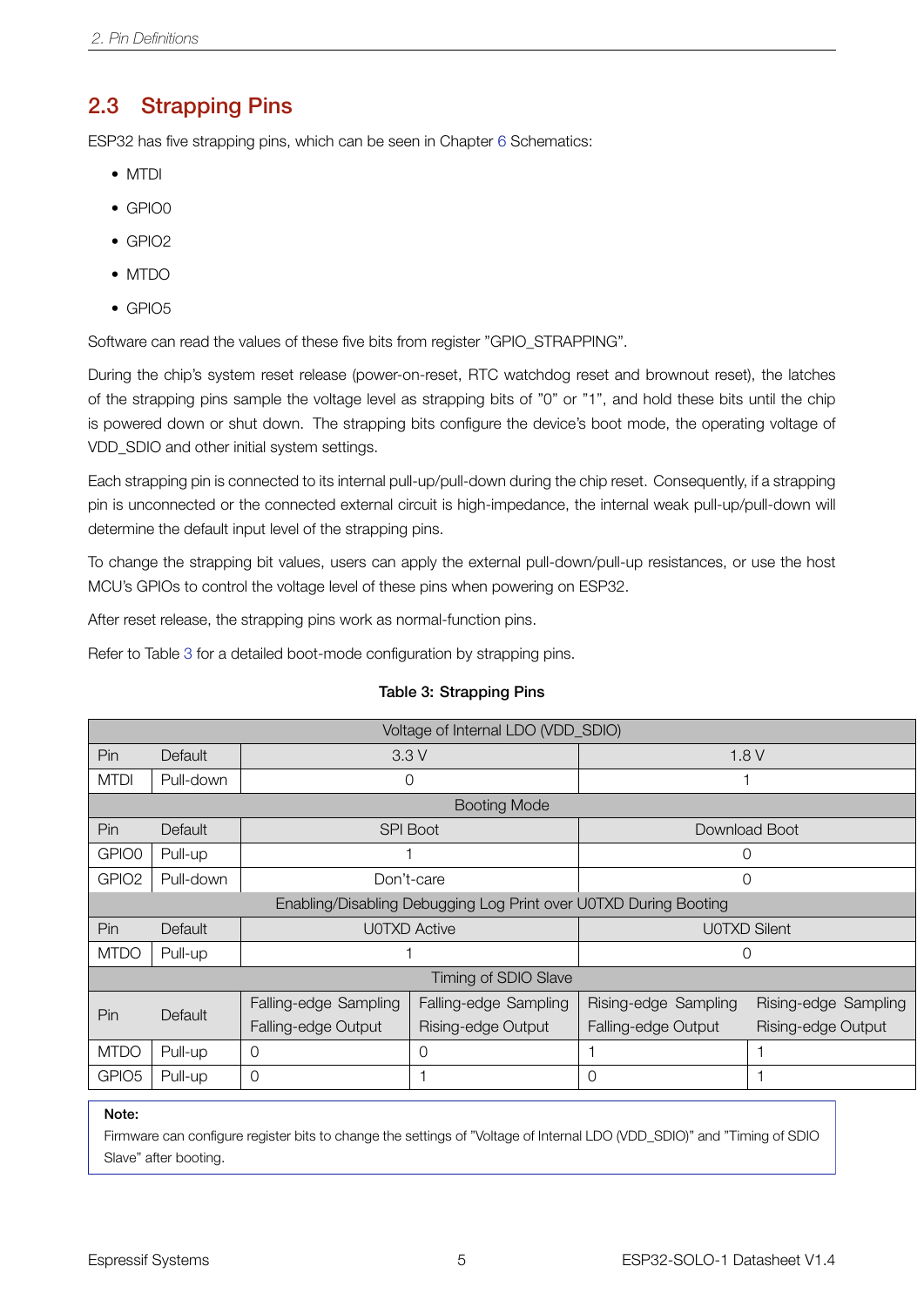#### 2.3 Strapping Pins

ESP32 has five strapping pins, which can be seen in Chapter [6](#page-17-0) Schematics:

- MTDI
- GPIO0
- GPIO2
- MTDO
- GPIO5

Software can read the values of these five bits from register "GPIO\_STRAPPING".

During the chip's system reset release (power-on-reset, RTC watchdog reset and brownout reset), the latches of the strapping pins sample the voltage level as strapping bits of "0" or "1", and hold these bits until the chip is powered down or shut down. The strapping bits configure the device's boot mode, the operating voltage of VDD\_SDIO and other initial system settings.

Each strapping pin is connected to its internal pull-up/pull-down during the chip reset. Consequently, if a strapping pin is unconnected or the connected external circuit is high-impedance, the internal weak pull-up/pull-down will determine the default input level of the strapping pins.

To change the strapping bit values, users can apply the external pull-down/pull-up resistances, or use the host MCU's GPIOs to control the voltage level of these pins when powering on ESP32.

After reset release, the strapping pins work as normal-function pins.

<span id="page-9-0"></span>Refer to Table [3](#page-9-0) for a detailed boot-mode configuration by strapping pins.

|                   | Voltage of Internal LDO (VDD_SDIO) |                                                |                                                                  |                      |                      |  |  |  |
|-------------------|------------------------------------|------------------------------------------------|------------------------------------------------------------------|----------------------|----------------------|--|--|--|
| Pin               | <b>Default</b>                     | 3.3V<br>1.8V                                   |                                                                  |                      |                      |  |  |  |
| <b>MTDI</b>       | Pull-down                          |                                                | 0                                                                |                      |                      |  |  |  |
|                   |                                    |                                                | <b>Booting Mode</b>                                              |                      |                      |  |  |  |
| Pin               | Default                            |                                                | <b>SPI Boot</b>                                                  |                      | Download Boot        |  |  |  |
| GPIO0             | Pull-up                            |                                                |                                                                  |                      | 0                    |  |  |  |
| GPIO <sub>2</sub> | Pull-down                          |                                                | Don't-care                                                       |                      | $\Omega$             |  |  |  |
|                   |                                    |                                                | Enabling/Disabling Debugging Log Print over U0TXD During Booting |                      |                      |  |  |  |
| Pin               | Default                            |                                                | <b>U0TXD Active</b>                                              |                      | <b>UOTXD Silent</b>  |  |  |  |
| <b>MTDO</b>       | Pull-up                            |                                                |                                                                  | 0                    |                      |  |  |  |
|                   |                                    |                                                | Timing of SDIO Slave                                             |                      |                      |  |  |  |
| Pin.              | Default                            | Falling-edge Sampling<br>Falling-edge Sampling |                                                                  | Rising-edge Sampling | Rising-edge Sampling |  |  |  |
|                   |                                    | Falling-edge Output                            | Rising-edge Output                                               | Falling-edge Output  | Rising-edge Output   |  |  |  |
| <b>MTDO</b>       | Pull-up                            | 0                                              | $\circ$                                                          |                      |                      |  |  |  |
| GPIO <sub>5</sub> | Pull-up                            | $\Omega$                                       |                                                                  | $\Omega$             |                      |  |  |  |

#### Table 3: Strapping Pins

Note:

Firmware can configure register bits to change the settings of "Voltage of Internal LDO (VDD\_SDIO)" and "Timing of SDIO Slave" after booting.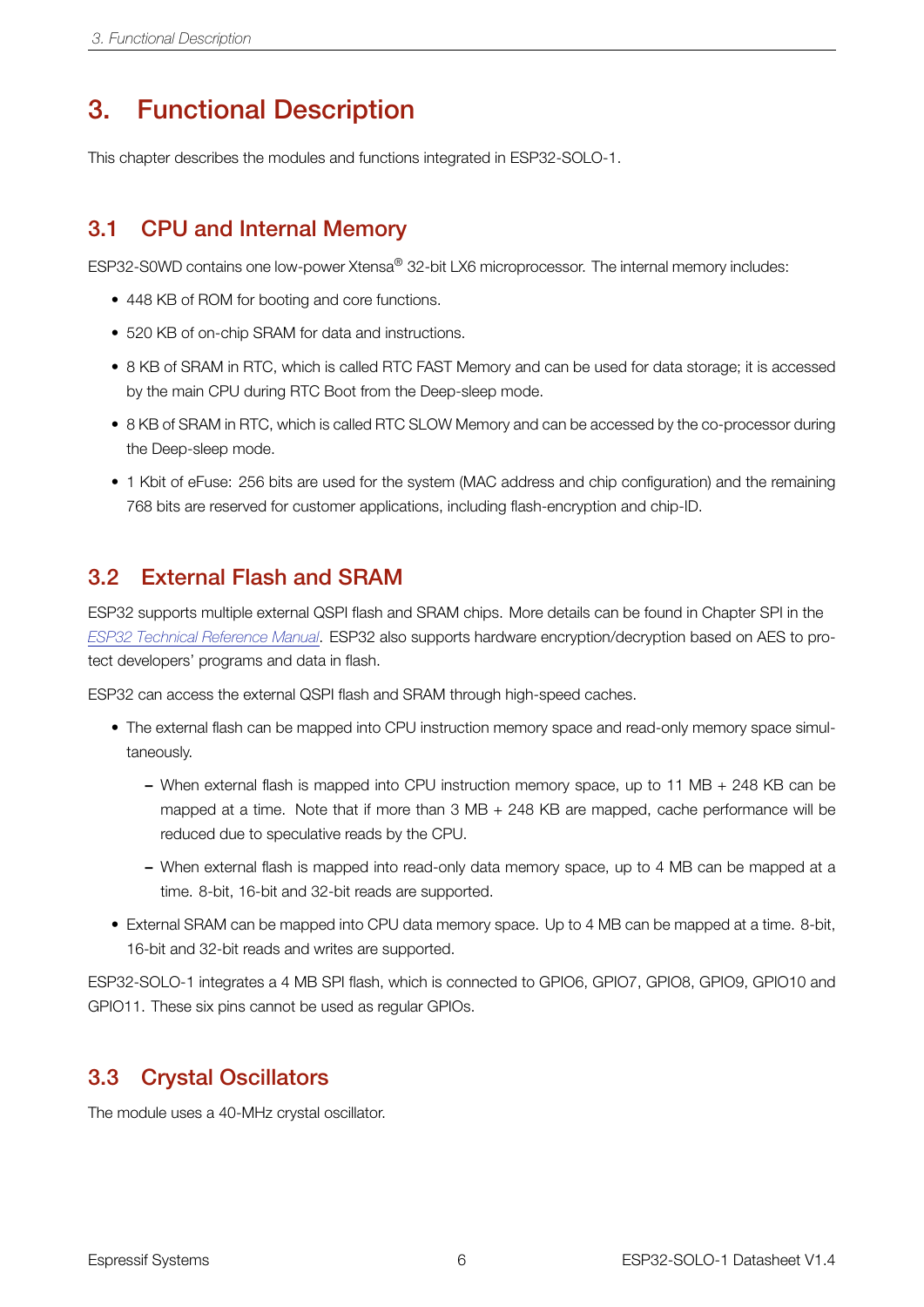### <span id="page-10-0"></span>3. Functional Description

This chapter describes the modules and functions integrated in ESP32-SOLO-1.

#### <span id="page-10-1"></span>3.1 CPU and Internal Memory

ESP32-S0WD contains one low-power Xtensa® 32-bit LX6 microprocessor. The internal memory includes:

- 448 KB of ROM for booting and core functions.
- 520 KB of on-chip SRAM for data and instructions.
- 8 KB of SRAM in RTC, which is called RTC FAST Memory and can be used for data storage; it is accessed by the main CPU during RTC Boot from the Deep-sleep mode.
- 8 KB of SRAM in RTC, which is called RTC SLOW Memory and can be accessed by the co-processor during the Deep-sleep mode.
- 1 Kbit of eFuse: 256 bits are used for the system (MAC address and chip configuration) and the remaining 768 bits are reserved for customer applications, including flash-encryption and chip-ID.

#### <span id="page-10-2"></span>3.2 External Flash and SRAM

ESP32 supports multiple external QSPI flash and SRAM chips. More details can be found in Chapter SPI in the *[ESP32 Technical Reference Manual](http://espressif.com/sites/default/files/documentation/esp32_technical_reference_manual_en.pdf)*. ESP32 also supports hardware encryption/decryption based on AES to protect developers' programs and data in flash.

ESP32 can access the external QSPI flash and SRAM through high-speed caches.

- The external flash can be mapped into CPU instruction memory space and read-only memory space simultaneously.
	- When external flash is mapped into CPU instruction memory space, up to 11 MB + 248 KB can be mapped at a time. Note that if more than 3 MB + 248 KB are mapped, cache performance will be reduced due to speculative reads by the CPU.
	- When external flash is mapped into read-only data memory space, up to 4 MB can be mapped at a time. 8-bit, 16-bit and 32-bit reads are supported.
- External SRAM can be mapped into CPU data memory space. Up to 4 MB can be mapped at a time. 8-bit, 16-bit and 32-bit reads and writes are supported.

ESP32-SOLO-1 integrates a 4 MB SPI flash, which is connected to GPIO6, GPIO7, GPIO8, GPIO9, GPIO10 and GPIO11. These six pins cannot be used as regular GPIOs.

#### <span id="page-10-3"></span>3.3 Crystal Oscillators

The module uses a 40-MHz crystal oscillator.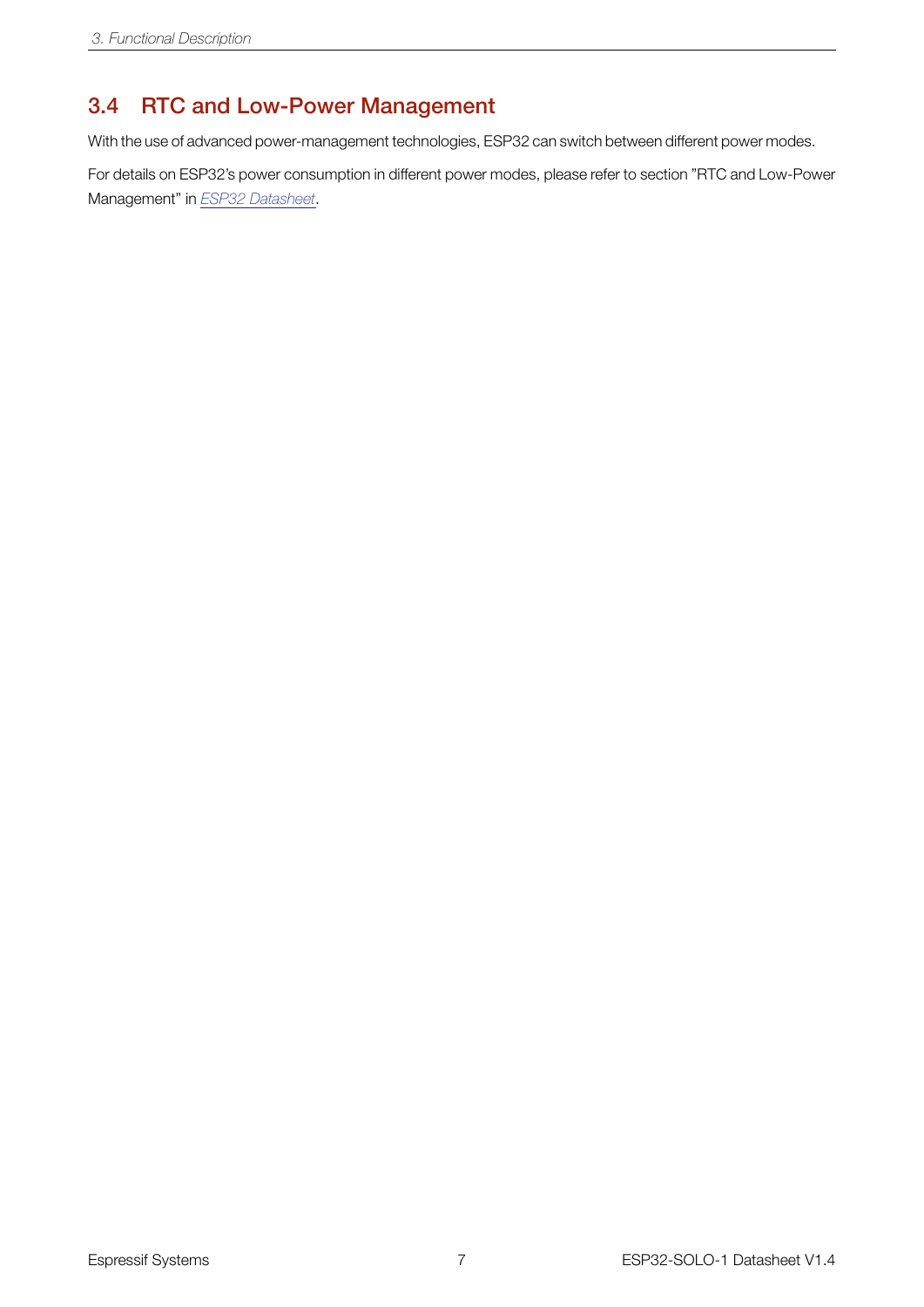### <span id="page-11-0"></span>3.4 RTC and Low-Power Management

With the use of advanced power-management technologies, ESP32 can switch between different power modes.

For details on ESP32's power consumption in different power modes, please refer to section "RTC and Low-Power Management" in *[ESP32 Datasheet](http://espressif.com/sites/default/files/documentation/esp32_datasheet_en.pdf)*.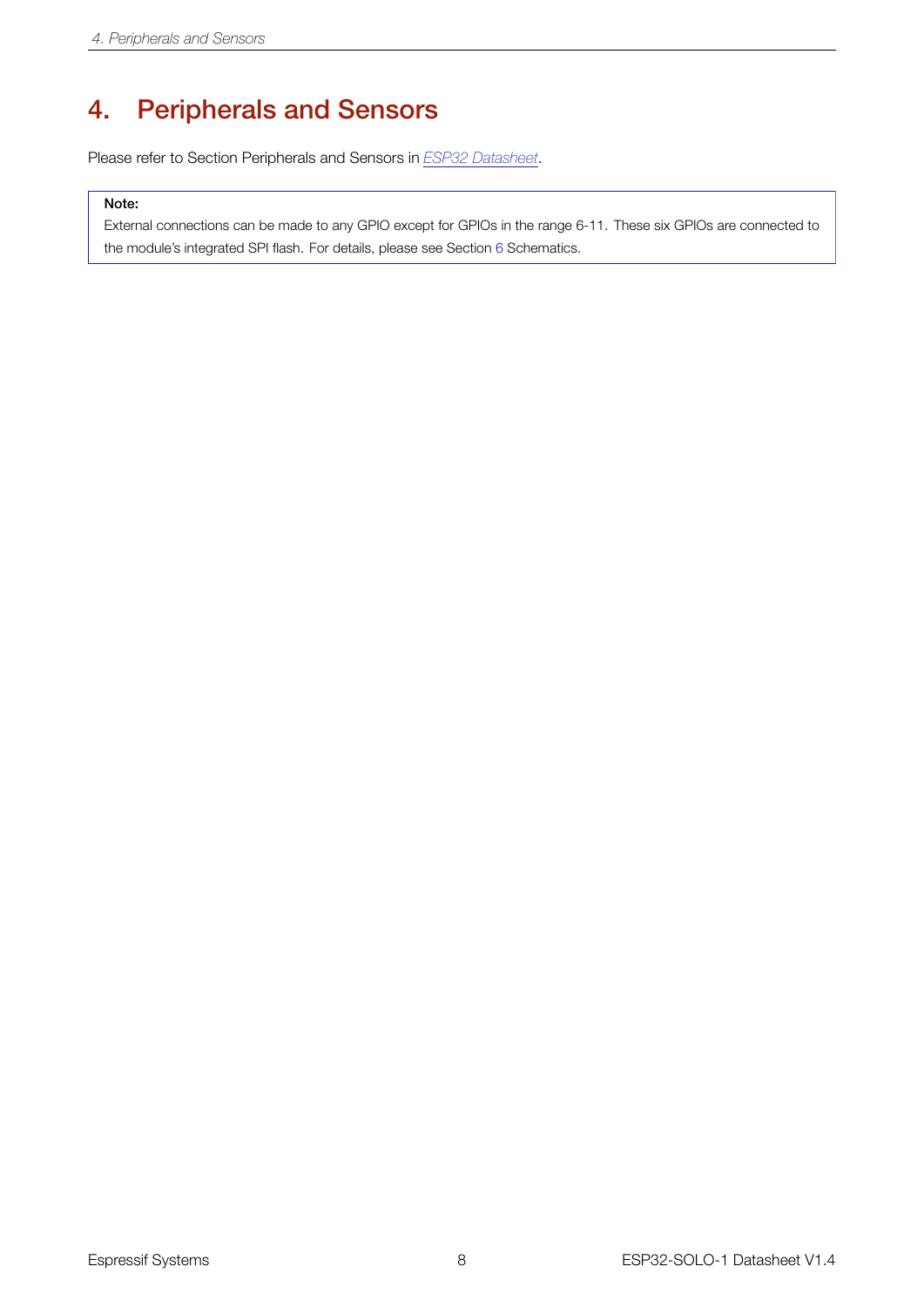### <span id="page-12-0"></span>4. Peripherals and Sensors

Please refer to Section Peripherals and Sensors in *[ESP32 Datasheet](http://espressif.com/sites/default/files/documentation/esp32_datasheet_en.pdf)*.

#### Note:

External connections can be made to any GPIO except for GPIOs in the range 6-11. These six GPIOs are connected to the module's integrated SPI flash. For details, please see Section [6](#page-17-0) Schematics.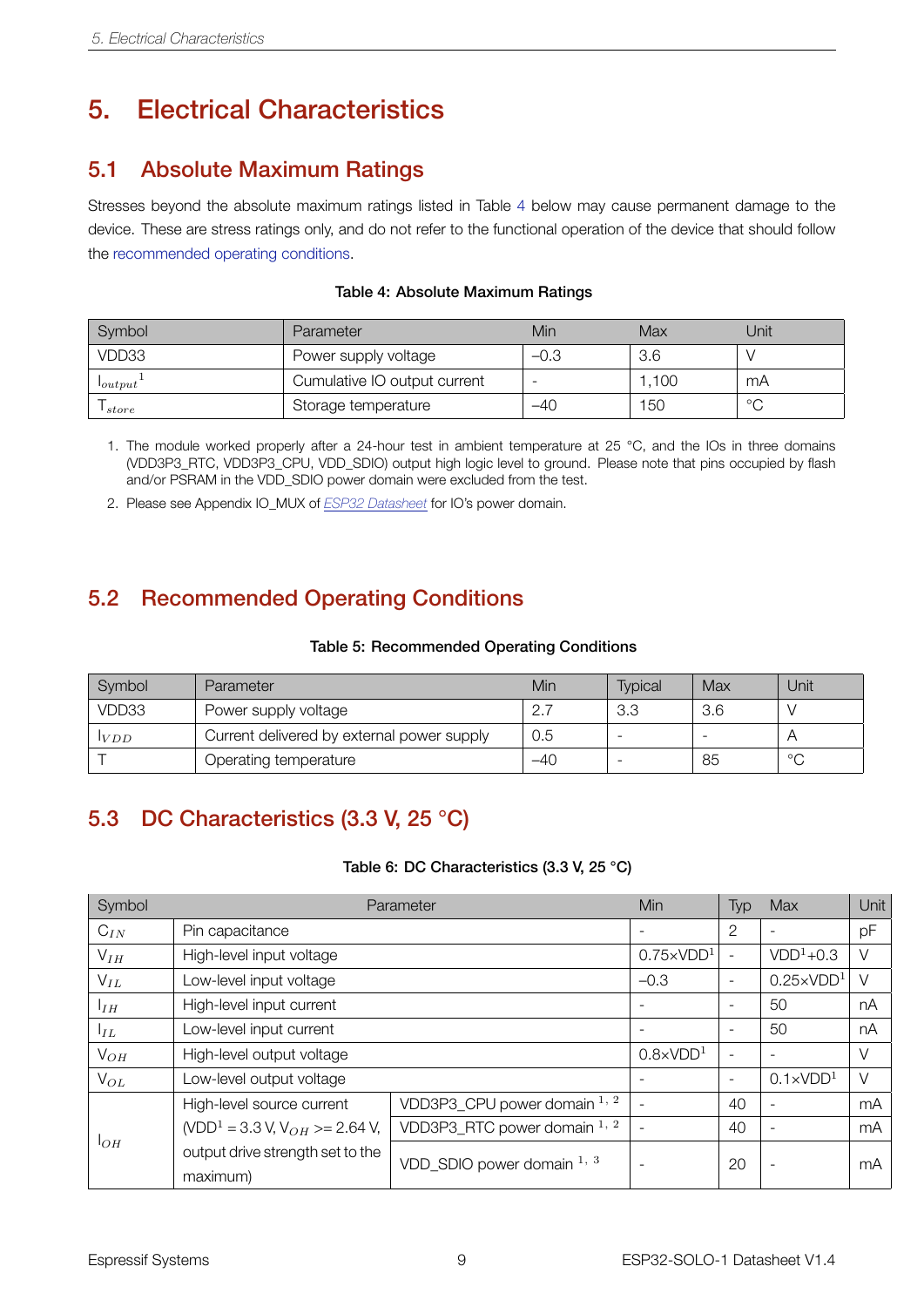### <span id="page-13-0"></span>5. Electrical Characteristics

#### <span id="page-13-1"></span>5.1 Absolute Maximum Ratings

Stresses beyond the absolute maximum ratings listed in Table [4](#page-13-4) below may cause permanent damage to the device. These are stress ratings only, and do not refer to the functional operation of the device that should follow the [recommended operating conditions.](#page-13-5)

<span id="page-13-4"></span>

| Symbol       | Parameter                    | Min    | Max   | Unit    |
|--------------|------------------------------|--------|-------|---------|
| VDD33        | Power supply voltage         | $-0.3$ | 3.6   |         |
| $I_{output}$ | Cumulative IO output current |        | 1.100 | mA      |
| store        | Storage temperature          | -40    | 150   | $\circ$ |

#### Table 4: Absolute Maximum Ratings

- 1. The module worked properly after a 24-hour test in ambient temperature at 25 °C, and the IOs in three domains (VDD3P3\_RTC, VDD3P3\_CPU, VDD\_SDIO) output high logic level to ground. Please note that pins occupied by flash and/or PSRAM in the VDD\_SDIO power domain were excluded from the test.
- 2. Please see Appendix IO\_MUX of *[ESP32 Datasheet](http://espressif.com/sites/default/files/documentation/esp32_datasheet_en.pdf)* for IO's power domain.

### <span id="page-13-2"></span>5.2 Recommended Operating Conditions

#### Table 5: Recommended Operating Conditions

<span id="page-13-5"></span>

| Symbol         | Parameter                                  | Min | <b>Typical</b> | Max | Unit    |
|----------------|--------------------------------------------|-----|----------------|-----|---------|
| VDD33          | Power supply voltage                       | ⌒   | 3.3            | 3.6 |         |
| l <i>V D D</i> | Current delivered by external power supply | 0.5 |                |     |         |
|                | Operating temperature                      | -40 |                | 85  | $\circ$ |

### <span id="page-13-3"></span>5.3 DC Characteristics (3.3 V, 25 °C)

#### Table 6: DC Characteristics (3.3 V, 25 °C)

<span id="page-13-6"></span>

| Symbol          | Min<br>Parameter                                      |                              |                          | Typ                      | Max                      | Unit |
|-----------------|-------------------------------------------------------|------------------------------|--------------------------|--------------------------|--------------------------|------|
| $C_{IN}$        | Pin capacitance                                       |                              | $\overline{\phantom{0}}$ | $\overline{2}$           |                          | pF   |
| $V_{IH}$        | High-level input voltage                              |                              | $0.75 \times VDD1$       |                          | $VDD1+0.3$               | V    |
| $V_{IL}$        | Low-level input voltage                               |                              | $-0.3$                   | $\overline{\phantom{a}}$ | $0.25 \times VDD1$       | V    |
| I <sub>IH</sub> | High-level input current                              |                              |                          | $\overline{\phantom{a}}$ | 50                       | nA   |
| $I_{IL}$        | Low-level input current                               |                              | $\overline{\phantom{a}}$ | 50                       | nA                       |      |
| $V_{OH}$        | High-level output voltage                             | $0.8 \times VDD1$            |                          |                          | $\vee$                   |      |
| $V_{OL}$        | Low-level output voltage                              | ٠                            | $\overline{\phantom{a}}$ | $0.1 \times VDD1$        | $\vee$                   |      |
|                 | High-level source current                             | VDD3P3_CPU power domain 1, 2 |                          | 40                       | $\overline{\phantom{a}}$ | mA   |
| $1_{OH}$        | (VDD <sup>1</sup> = 3.3 V, V <sub>OH</sub> >= 2.64 V, | VDD3P3_RTC power domain 1, 2 |                          | 40                       | $\overline{\phantom{a}}$ | mA   |
|                 | output drive strength set to the<br>maximum)          | VDD SDIO power domain $1, 3$ | $\overline{\phantom{a}}$ | 20                       |                          | mA   |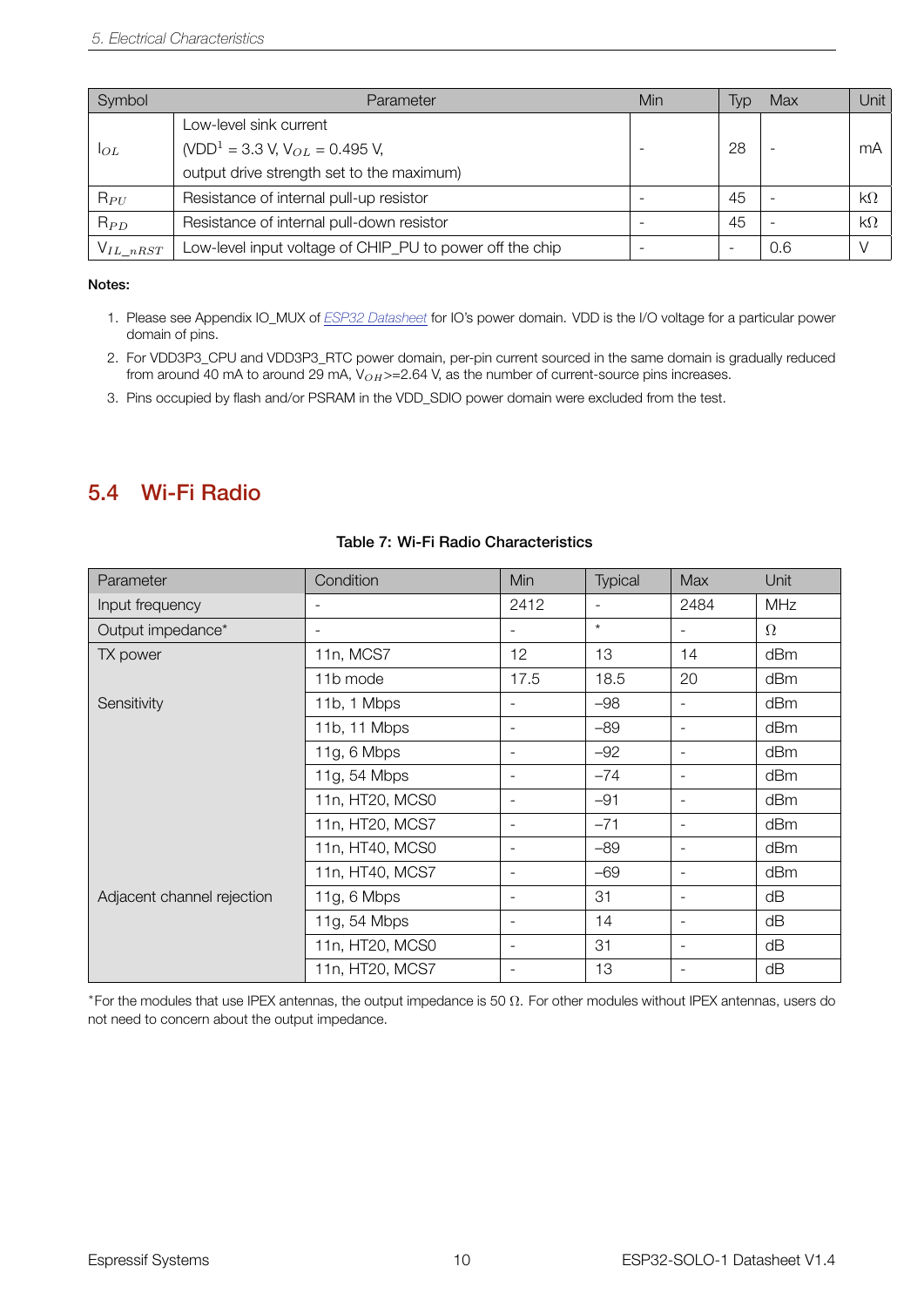| Symbol        | Parameter                                                | Min | Typ | Max | Unit      |
|---------------|----------------------------------------------------------|-----|-----|-----|-----------|
|               | Low-level sink current                                   |     |     |     |           |
| 1OL           | (VDD <sup>1</sup> = 3.3 V, V <sub>OL</sub> = 0.495 V,    |     | 28  |     | mA        |
|               | output drive strength set to the maximum)                |     |     |     |           |
| $R_{PU}$      | Resistance of internal pull-up resistor                  |     | 45  |     | $k\Omega$ |
| $R_{PD}$      | Resistance of internal pull-down resistor                |     | 45  |     | $k\Omega$ |
| $V_{IL}$ nRST | Low-level input voltage of CHIP_PU to power off the chip |     | -   | 0.6 |           |

#### Notes:

- 1. Please see Appendix IO\_MUX of *[ESP32 Datasheet](http://espressif.com/sites/default/files/documentation/esp32_datasheet_en.pdf)* for IO's power domain. VDD is the I/O voltage for a particular power domain of pins.
- 2. For VDD3P3\_CPU and VDD3P3\_RTC power domain, per-pin current sourced in the same domain is gradually reduced from around 40 mA to around 29 mA, V<sub>OH</sub> >=2.64 V, as the number of current-source pins increases.
- 3. Pins occupied by flash and/or PSRAM in the VDD\_SDIO power domain were excluded from the test.

#### <span id="page-14-0"></span>5.4 Wi-Fi Radio

<span id="page-14-1"></span>

| Parameter                  | Condition                | Min                          | Typical                  | Max                      | Unit       |
|----------------------------|--------------------------|------------------------------|--------------------------|--------------------------|------------|
| Input frequency            |                          | 2412                         | $\overline{\phantom{a}}$ | 2484                     | <b>MHz</b> |
| Output impedance*          | $\overline{\phantom{a}}$ | -                            | $\star$                  | $\overline{\phantom{a}}$ | $\Omega$   |
| TX power                   | 11n, MCS7                | 12 <sup>2</sup>              | 13                       | 14                       | dBm        |
|                            | 11b mode                 | 17.5                         | 18.5                     | 20                       | dBm        |
| Sensitivity                | 11b, 1 Mbps              | $\overline{\phantom{0}}$     | $-98$                    | $\overline{\phantom{a}}$ | dBm        |
|                            | 11b, 11 Mbps             | $\overline{\phantom{a}}$     | $-89$                    | $\blacksquare$           | dBm        |
|                            | 11g, 6 Mbps              | $\qquad \qquad \blacksquare$ | $-92$                    | $\overline{\phantom{a}}$ | dBm        |
|                            | 11g, 54 Mbps             | $\overline{\phantom{a}}$     | $-74$                    | $\overline{\phantom{a}}$ | dBm        |
|                            | 11n, HT20, MCS0          | $\overline{\phantom{a}}$     | $-91$                    | $\overline{\phantom{a}}$ | dBm        |
|                            | 11n, HT20, MCS7          | $\overline{\phantom{a}}$     | $-71$                    | $\overline{\phantom{a}}$ | dBm        |
|                            | 11n, HT40, MCS0          | $\overline{\phantom{a}}$     | $-89$                    | $\overline{\phantom{a}}$ | dBm        |
|                            | 11n, HT40, MCS7          | $\overline{\phantom{a}}$     | $-69$                    | $\blacksquare$           | dBm        |
| Adjacent channel rejection | 11g, 6 Mbps              | $\overline{\phantom{a}}$     | 31                       | $\overline{\phantom{a}}$ | dB         |
|                            | 11g, 54 Mbps             | $\overline{\phantom{a}}$     | 14                       | $\overline{\phantom{a}}$ | dB         |
|                            | 11n, HT20, MCS0          | $\overline{\phantom{0}}$     | 31                       | $\overline{\phantom{a}}$ | dB         |
|                            | 11n, HT20, MCS7          |                              | 13                       |                          | dB         |

#### Table 7: Wi-Fi Radio Characteristics

*∗* For the modules that use IPEX antennas, the output impedance is 50 Ω. For other modules without IPEX antennas, users do not need to concern about the output impedance.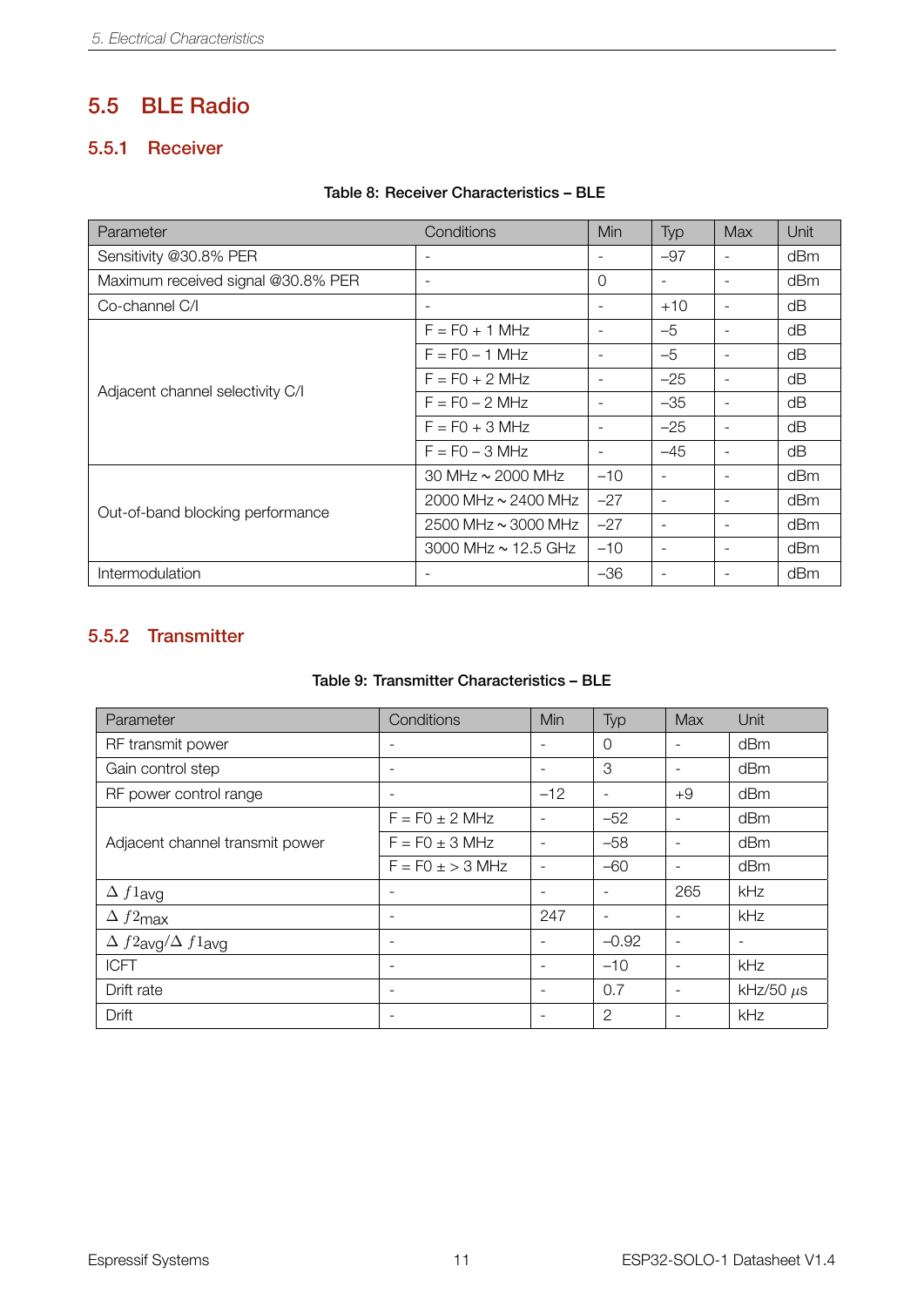### <span id="page-15-0"></span>5.5 BLE Radio

#### <span id="page-15-1"></span>5.5.1 Receiver

#### Table 8: Receiver Characteristics – BLE

<span id="page-15-3"></span>

| Parameter                          | Conditions                 | Min                      | Typ            | Max                      | Unit |
|------------------------------------|----------------------------|--------------------------|----------------|--------------------------|------|
| Sensitivity @30.8% PER             |                            |                          | $-97$          | $\blacksquare$           | dBm  |
| Maximum received signal @30.8% PER |                            | $\Omega$                 | ٠              | $\blacksquare$           | dBm  |
| Co-channel C/I                     | $\overline{\phantom{a}}$   |                          | $+10$          | $\overline{\phantom{0}}$ | dΒ   |
|                                    | $F = F0 + 1$ MHz           | $\overline{\phantom{0}}$ | $-5$           | $\overline{\phantom{0}}$ | dB   |
|                                    | $F = FO - 1 MHz$           | $\overline{\phantom{a}}$ | $-5$           | $\overline{\phantom{a}}$ | dΒ   |
| Adjacent channel selectivity C/I   | $F = FO + 2 MHz$           | $\overline{\phantom{0}}$ | $-25$          | $\blacksquare$           | dB   |
|                                    | $F = FO - 2 MHz$           |                          | $-35$          |                          | dB   |
|                                    | $F = FO + 3 MHz$           | $\overline{\phantom{a}}$ | $-25$          | $\overline{\phantom{a}}$ | dВ   |
|                                    | $F = F0 - 3 MHz$           | $\overline{\phantom{a}}$ | $-45$          | $\overline{\phantom{a}}$ | dВ   |
|                                    | 30 MHz $\sim$ 2000 MHz     | $-10$                    | $\blacksquare$ | $\overline{\phantom{a}}$ | dBm  |
| Out-of-band blocking performance   | 2000 MHz $\sim$ 2400 MHz   | $-27$                    |                | ۰                        | dBm  |
|                                    | $2500$ MHz $\sim$ 3000 MHz | $-27$                    |                | $\overline{\phantom{a}}$ | dBm  |
|                                    | 3000 MHz $\sim$ 12.5 GHz   | $-10$                    | ۰              | $\overline{\phantom{a}}$ | dBm  |
| Intermodulation                    |                            | $-36$                    |                |                          | dBm  |

#### <span id="page-15-2"></span>5.5.2 Transmitter

#### Table 9: Transmitter Characteristics – BLE

<span id="page-15-4"></span>

| Parameter                        | Conditions               | Min                      | Typ                      | Max                      | Unit                     |
|----------------------------------|--------------------------|--------------------------|--------------------------|--------------------------|--------------------------|
| RF transmit power                | $\overline{\phantom{a}}$ | ۰                        | 0                        | ۰                        | dBm                      |
| Gain control step                | $\overline{\phantom{a}}$ | $\overline{\phantom{a}}$ | 3                        |                          | dBm                      |
| RF power control range           | $\overline{\phantom{a}}$ | $-12$                    | $\overline{\phantom{a}}$ | $+9$                     | dBm                      |
|                                  | $F = F0 \pm 2$ MHz       | $\overline{\phantom{0}}$ | $-52$                    | $\overline{\phantom{a}}$ | dBm                      |
| Adjacent channel transmit power  | $F = F0 \pm 3$ MHz       |                          | $-58$                    |                          | dBm                      |
|                                  | $F = F0 \pm 3$ MHz       | $\blacksquare$           | $-60$                    | $\overline{\phantom{a}}$ | dBm                      |
| $\Delta f1$ avg                  | $\overline{\phantom{a}}$ |                          | -                        | 265                      | kHz                      |
| $\Delta f2$ max                  | $\overline{\phantom{a}}$ | 247                      | -                        |                          | kHz                      |
| $\Delta f2$ avg $/\Delta f1$ avg | $\overline{\phantom{a}}$ | ٠                        | $-0.92$                  | $\overline{\phantom{a}}$ | $\overline{\phantom{a}}$ |
| <b>ICFT</b>                      | $\overline{\phantom{a}}$ |                          | $-10$                    | ۰                        | kHz                      |
| Drift rate                       | $\overline{\phantom{a}}$ | ۰                        | 0.7                      |                          | kHz/50 $\mu$ s           |
| Drift                            | $\overline{\phantom{a}}$ | ٠                        | $\mathbf{2}$             | $\overline{\phantom{0}}$ | kHz                      |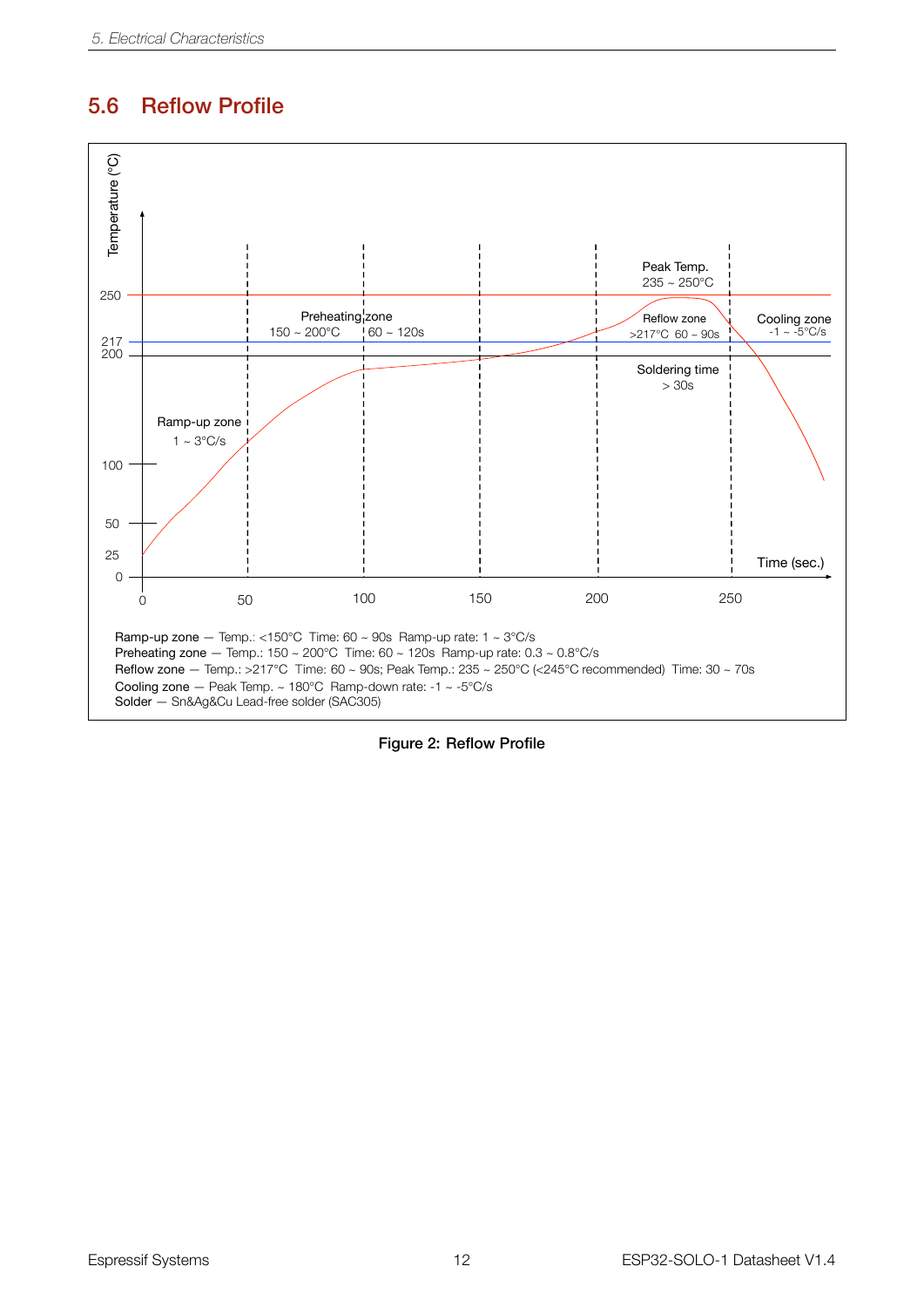### <span id="page-16-0"></span>5.6 Reflow Profile

<span id="page-16-1"></span>

Figure 2: Reflow Profile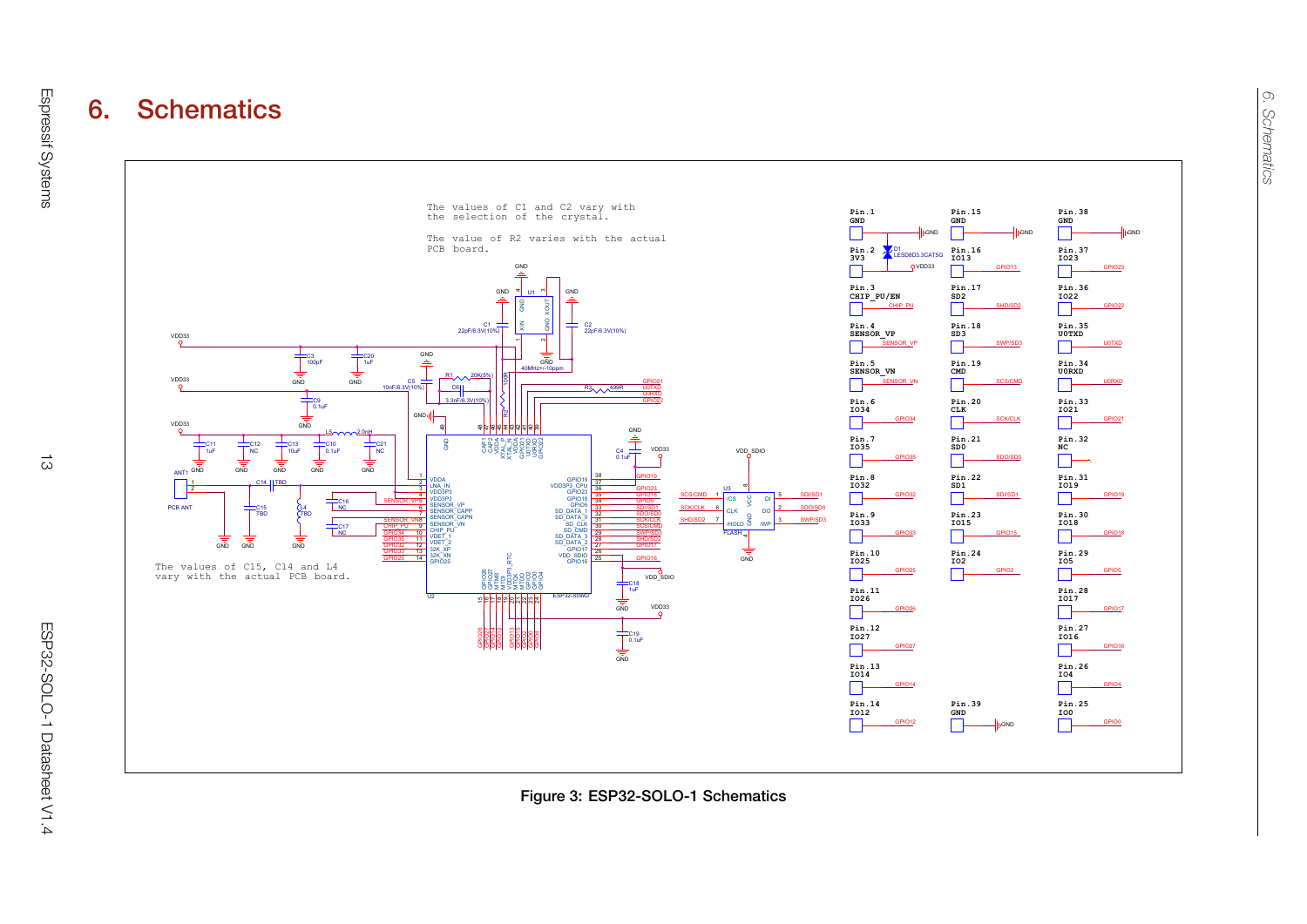

<span id="page-17-0"></span>Figure 3: ESP32-SOLO-1 Schematics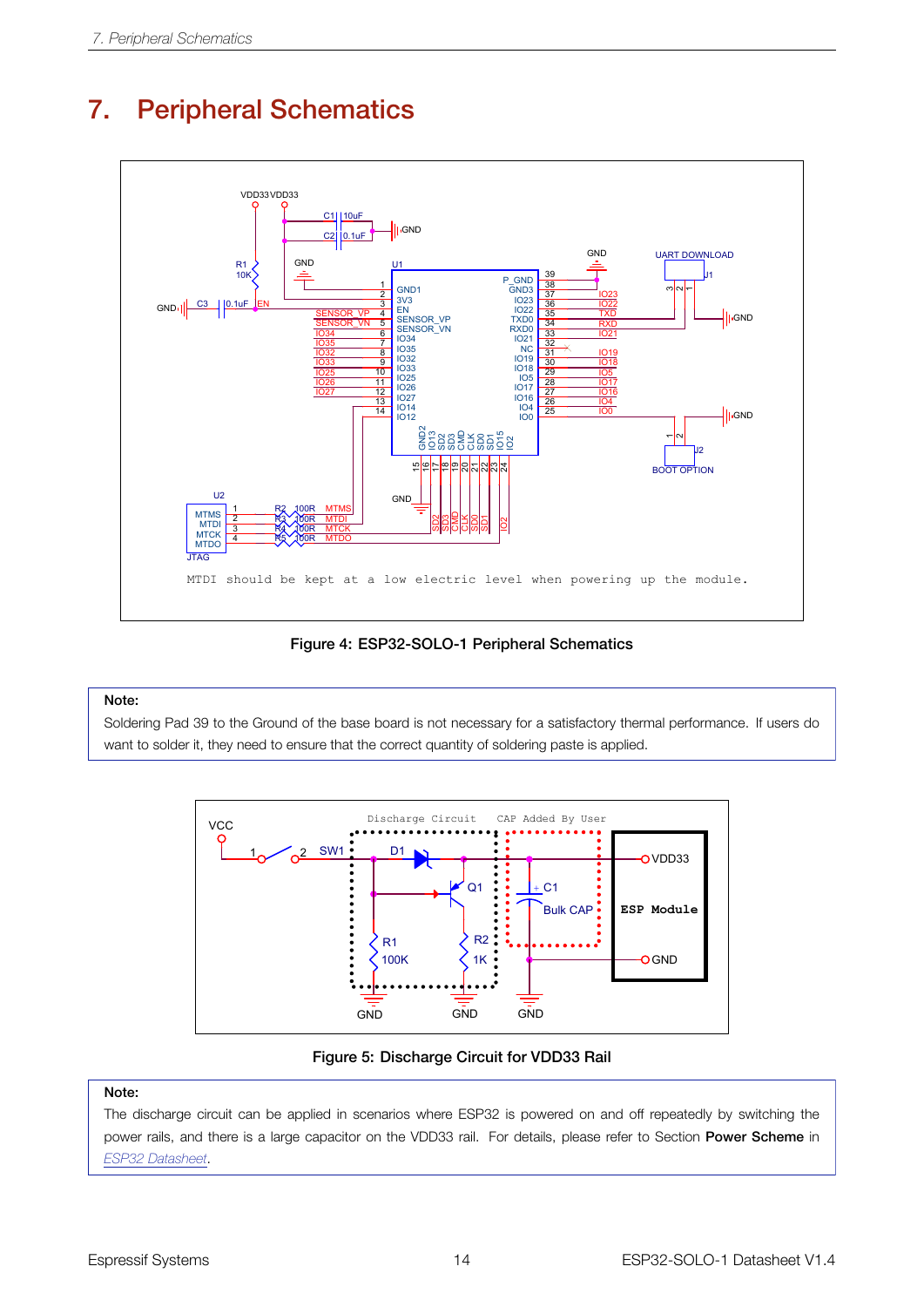### <span id="page-18-0"></span>**7. Peripheral Schematics Designation Designation Designation Designation Designation**

<span id="page-18-1"></span>

Figure 4: ESP32-SOLO-1 Peripheral Schematics

#### A A Note:

<span id="page-18-2"></span>**Note.**<br>Soldering Pad 39 to the Ground of the base board is not necessary for a satisfactory thermal performance. If users do Size Document Number Rev want to solder it, they need to ensure that the correct quantity of soldering paste is applied.



Figure 5: Discharge Circuit for VDD33 Rail

#### Note:

The discharge circuit can be applied in scenarios where ESP32 is powered on and off repeatedly by switching the power rails, and there is a large capacitor on the VDD33 rail. For details, please refer to Section Power Scheme in *[ESP32 Datasheet](http://espressif.com/sites/default/files/documentation/esp32_datasheet_en.pdf)*.

 $\overline{\phantom{a}}$ 

<u> 1.0 million and the second control of the second control of the second control of</u>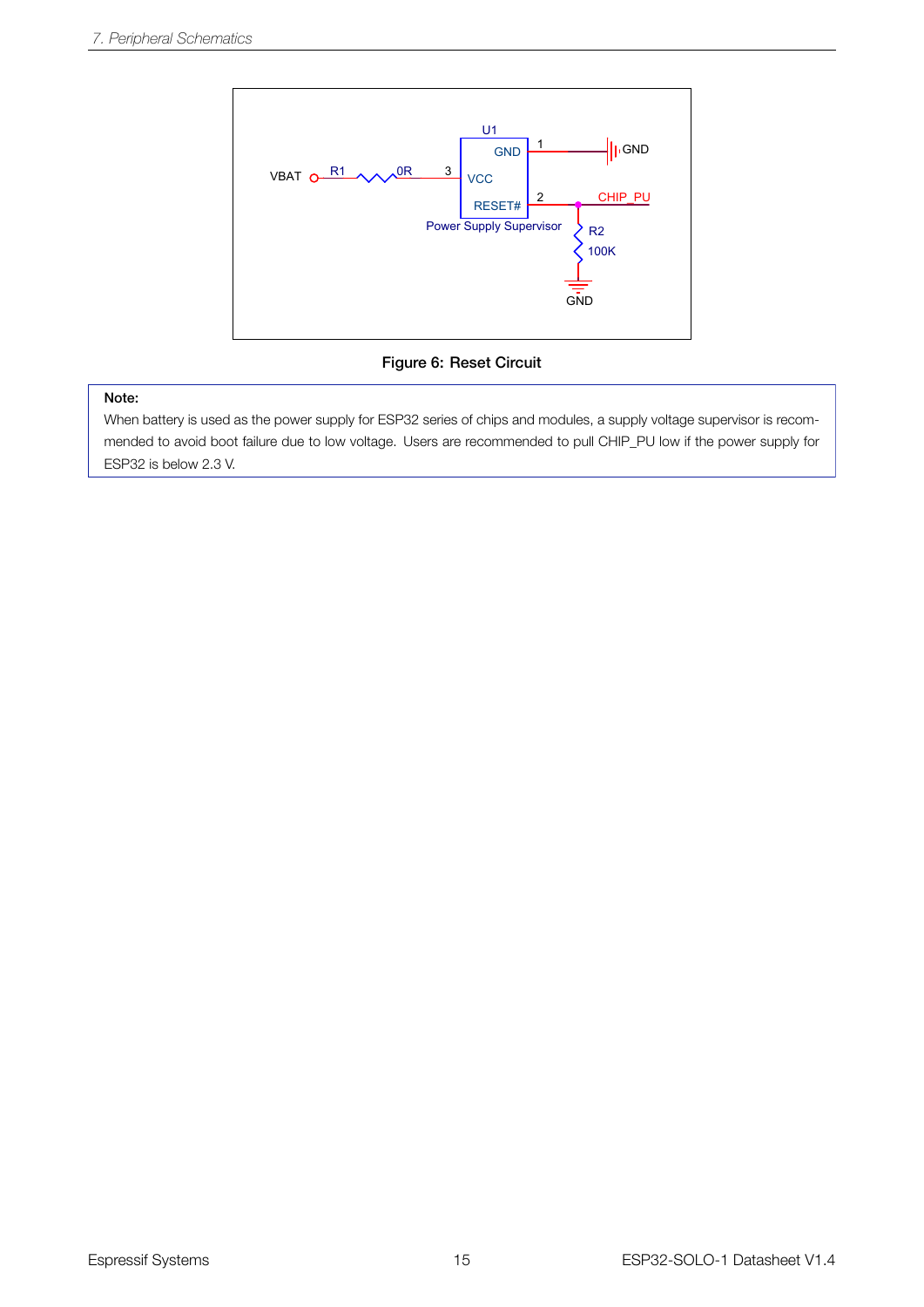<span id="page-19-0"></span>

Figure 6: Reset Circuit

#### Note:

When battery is used as the power supply for ESP32 series of chips and modules, a supply voltage supervisor is recommended to avoid boot failure due to low voltage. Users are recommended to pull CHIP\_PU low if the power supply for ESP32 is below 2.3 V.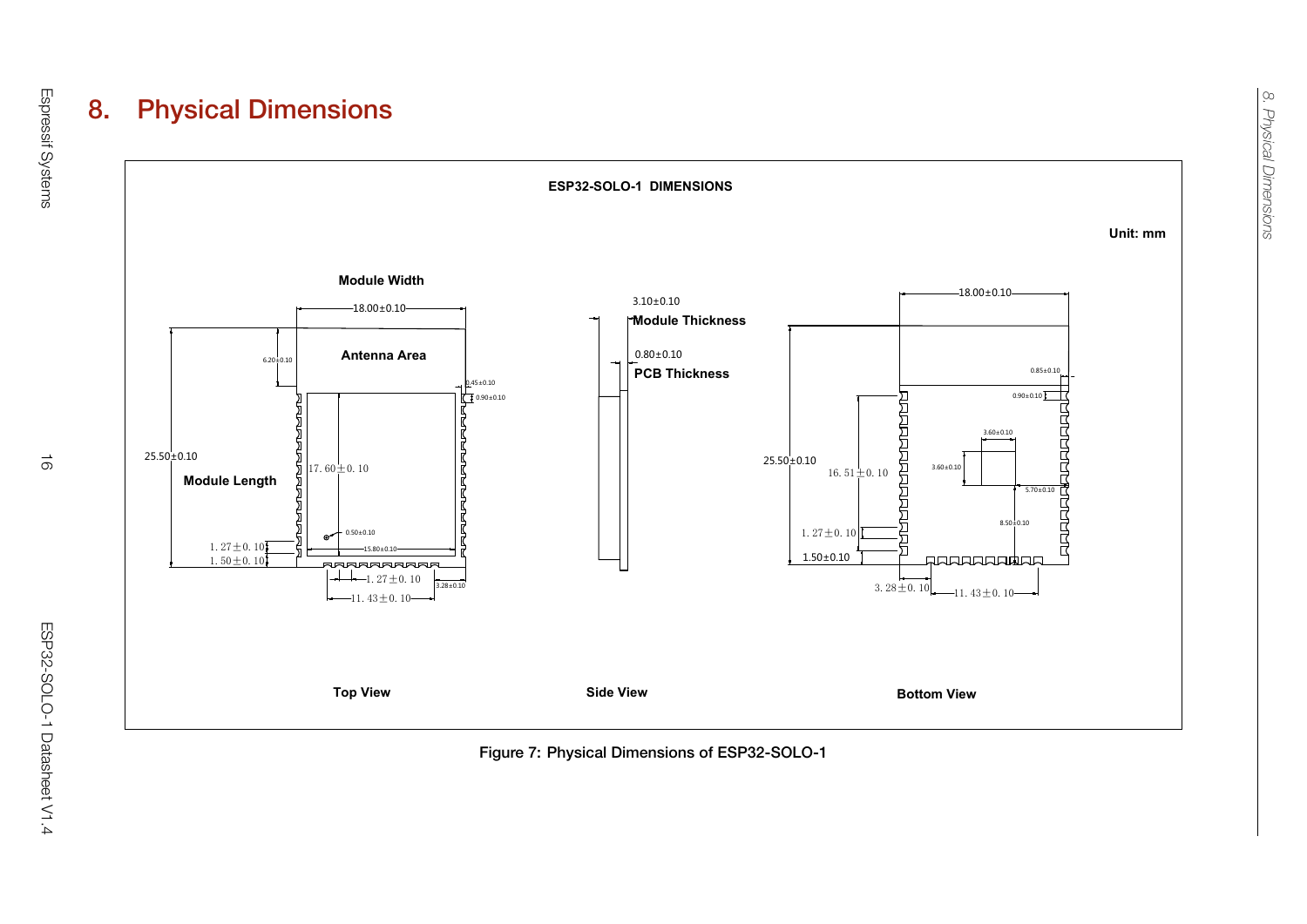

<span id="page-20-0"></span>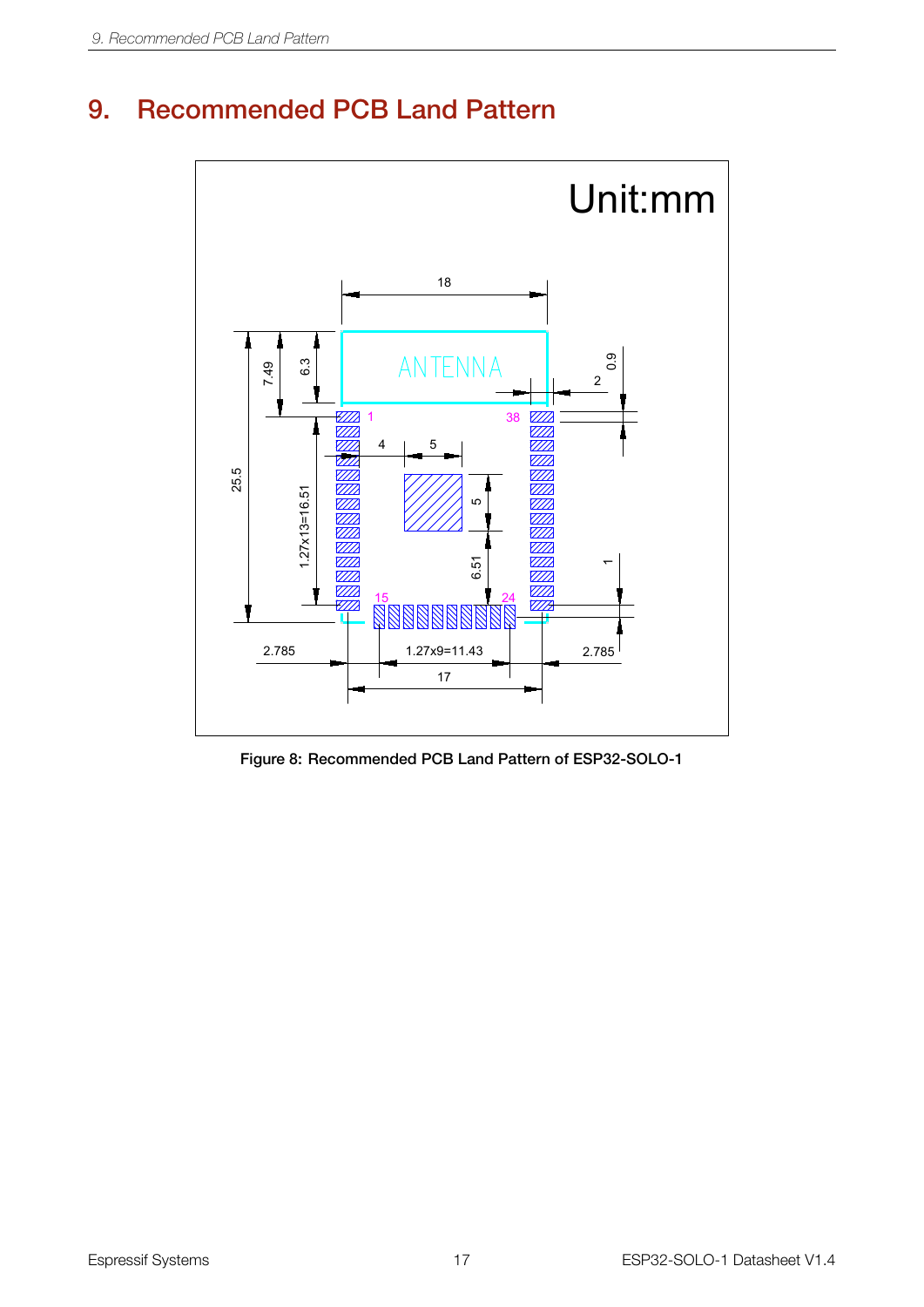### <span id="page-21-1"></span><span id="page-21-0"></span>9. Recommended PCB Land Pattern



Figure 8: Recommended PCB Land Pattern of ESP32-SOLO-1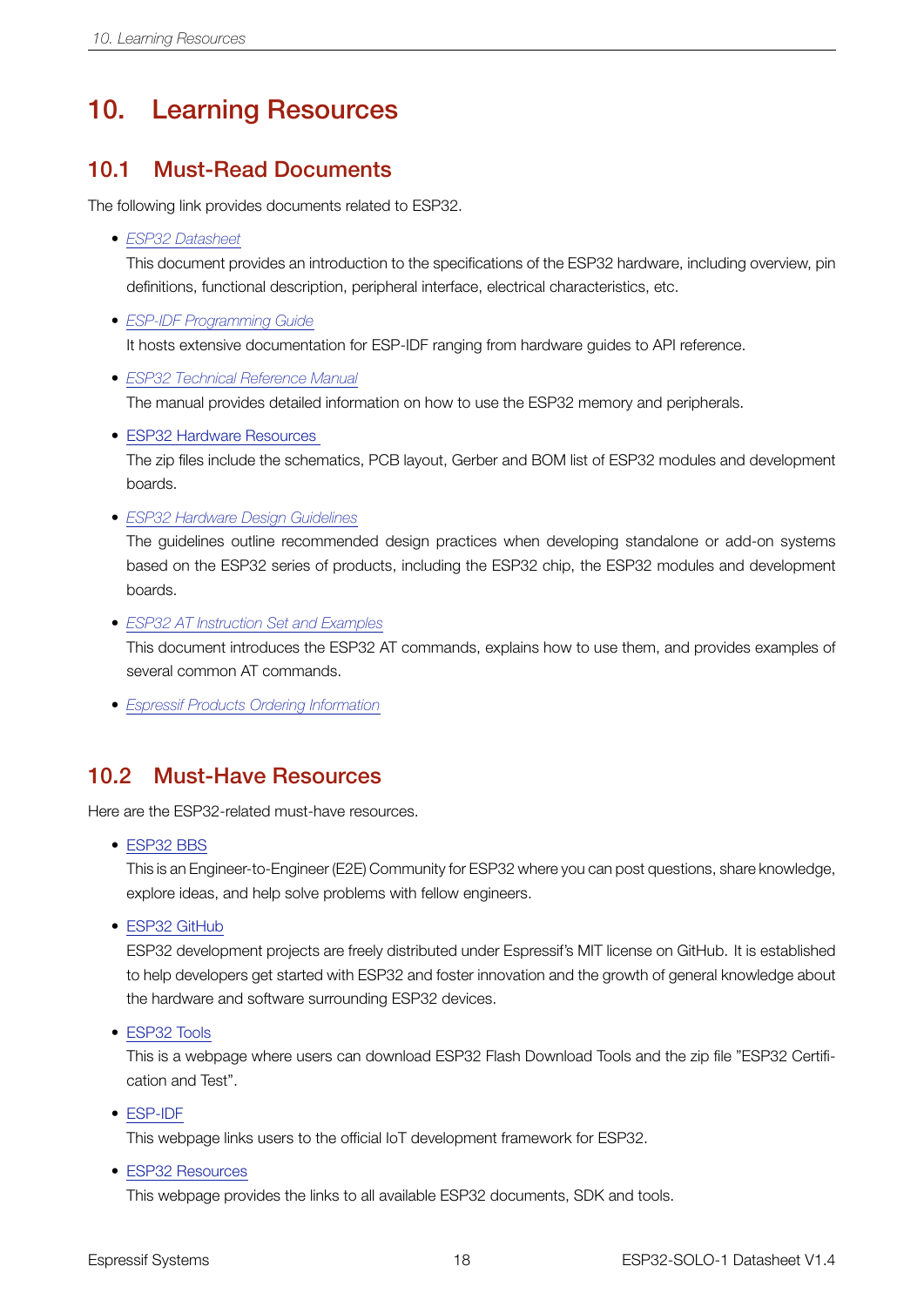### <span id="page-22-0"></span>10. Learning Resources

#### <span id="page-22-1"></span>10.1 Must-Read Documents

The following link provides documents related to ESP32.

• *[ESP32 Datasheet](http://espressif.com/sites/default/files/documentation/esp32_datasheet_en.pdf)*

This document provides an introduction to the specifications of the ESP32 hardware, including overview, pin definitions, functional description, peripheral interface, electrical characteristics, etc.

- *[ESP-IDF Programming Guide](http://esp-idf.readthedocs.io/en/latest/)* It hosts extensive documentation for ESP-IDF ranging from hardware guides to API reference.
- *[ESP32 Technical Reference Manual](http://espressif.com/sites/default/files/documentation/esp32_technical_reference_manual_en.pdf)* The manual provides detailed information on how to use the ESP32 memory and peripherals.
- ESP32 Hardware [Resources](http://espressif.com/en/support/download/documents?keys=reference+design)

The zip files include the schematics, PCB layout, Gerber and BOM list of ESP32 modules and development boards.

• *[ESP32 Hardware Design Guidelines](http://espressif.com/sites/default/files/documentation/esp32_hardware_design_guidelines_en.pdf)*

The guidelines outline recommended design practices when developing standalone or add-on systems based on the ESP32 series of products, including the ESP32 chip, the ESP32 modules and development boards.

• *[ESP32 AT Instruction Set and Examples](http://www.espressif.com/sites/default/files/documentation/esp32_at_instruction_set_and_examples_en.pdf)*

This document introduces the ESP32 AT commands, explains how to use them, and provides examples of several common AT commands.

• *[Espressif Products Ordering Information](http://www.espressif.com/sites/default/files/documentation/espressif_products_ordering_information_en.pdf)*

#### <span id="page-22-2"></span>10.2 Must-Have Resources

Here are the ESP32-related must-have resources.

• [ESP32](https://www.esp32.com) BBS

This is an Engineer-to-Engineer (E2E) Community for ESP32 where you can post questions, share knowledge, explore ideas, and help solve problems with fellow engineers.

• ESP32 [GitHub](https://github.com/espressif)

ESP32 development projects are freely distributed under Espressif's MIT license on GitHub. It is established to help developers get started with ESP32 and foster innovation and the growth of general knowledge about the hardware and software surrounding ESP32 devices.

• [ESP32](http://www.espressif.com/en/support/download/other-tools?keys=&field_type_tid%5B%5D=13) Tools

This is a webpage where users can download ESP32 Flash Download Tools and the zip file "ESP32 Certification and Test".

• [ESP-IDF](http://www.espressif.com/en/support/download/sdks-demos?keys=&field_type_tid%5B%5D=13)

This webpage links users to the official IoT development framework for ESP32.

• ESP32 [Resources](http://www.espressif.com/en/products/hardware/esp32/resources)

This webpage provides the links to all available ESP32 documents, SDK and tools.